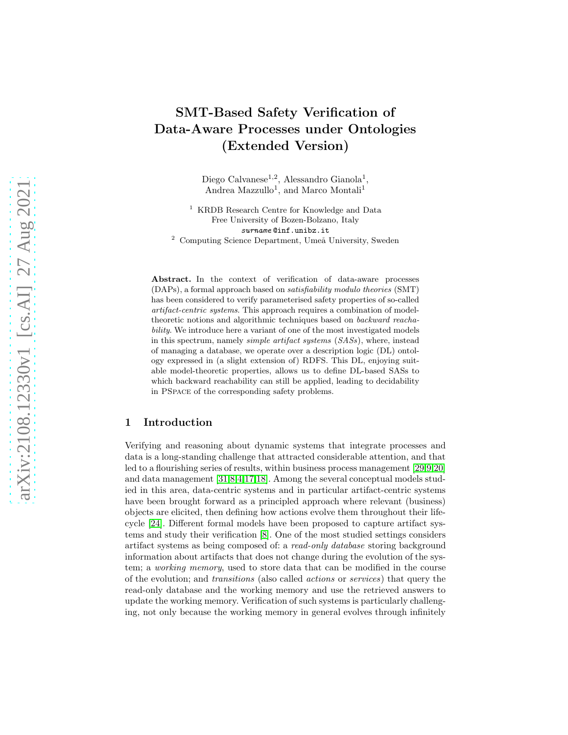# SMT-Based Safety Verification of Data-Aware Processes under Ontologies (Extended Version)

Diego Calvanese<sup>1,2</sup>, Alessandro Gianola<sup>1</sup>, Andrea Mazzullo<sup>1</sup>, and Marco Montali<sup>1</sup>

<sup>1</sup> KRDB Research Centre for Knowledge and Data Free University of Bozen-Bolzano, Italy surname @inf.unibz.it  $^2$  Computing Science Department, Umeå University, Sweden

Abstract. In the context of verification of data-aware processes (DAPs), a formal approach based on satisfiability modulo theories (SMT) has been considered to verify parameterised safety properties of so-called artifact-centric systems. This approach requires a combination of modeltheoretic notions and algorithmic techniques based on backward reachability. We introduce here a variant of one of the most investigated models in this spectrum, namely simple artifact systems (SASs), where, instead of managing a database, we operate over a description logic (DL) ontology expressed in (a slight extension of) RDFS. This DL, enjoying suitable model-theoretic properties, allows us to define DL-based SASs to which backward reachability can still be applied, leading to decidability in PSpace of the corresponding safety problems.

# 1 Introduction

Verifying and reasoning about dynamic systems that integrate processes and data is a long-standing challenge that attracted considerable attention, and that led to a flourishing series of results, within business process management [\[29](#page-14-0)[,9,](#page-12-0)[20\]](#page-13-0) and data management [\[31,](#page-14-1)[8](#page-12-1)[,4,](#page-12-2)[17](#page-13-1)[,18\]](#page-13-2). Among the several conceptual models studied in this area, data-centric systems and in particular artifact-centric systems have been brought forward as a principled approach where relevant (business) objects are elicited, then defining how actions evolve them throughout their lifecycle [\[24\]](#page-13-3). Different formal models have been proposed to capture artifact systems and study their verification [\[8\]](#page-12-1). One of the most studied settings considers artifact systems as being composed of: a read-only database storing background information about artifacts that does not change during the evolution of the system; a working memory, used to store data that can be modified in the course of the evolution; and transitions (also called actions or services) that query the read-only database and the working memory and use the retrieved answers to update the working memory. Verification of such systems is particularly challenging, not only because the working memory in general evolves through infinitely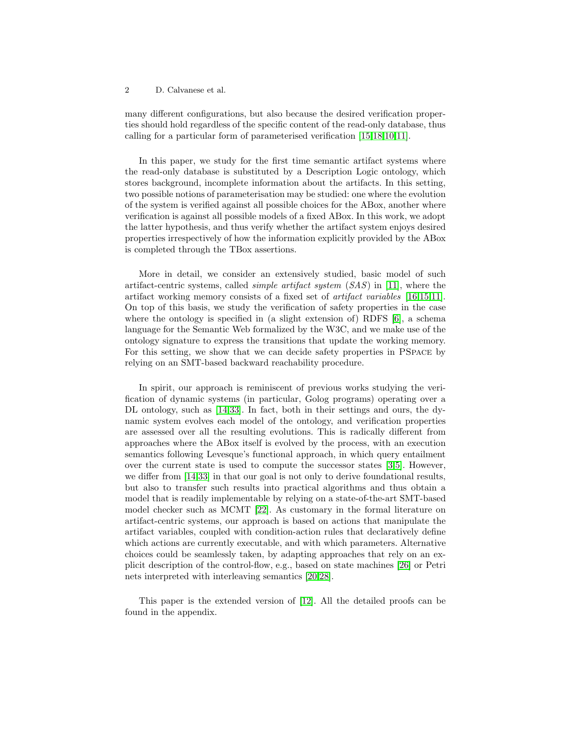many different configurations, but also because the desired verification properties should hold regardless of the specific content of the read-only database, thus calling for a particular form of parameterised verification [\[15](#page-13-4)[,18,](#page-13-2)[10,](#page-12-3)[11\]](#page-12-4).

In this paper, we study for the first time semantic artifact systems where the read-only database is substituted by a Description Logic ontology, which stores background, incomplete information about the artifacts. In this setting, two possible notions of parameterisation may be studied: one where the evolution of the system is verified against all possible choices for the ABox, another where verification is against all possible models of a fixed ABox. In this work, we adopt the latter hypothesis, and thus verify whether the artifact system enjoys desired properties irrespectively of how the information explicitly provided by the ABox is completed through the TBox assertions.

More in detail, we consider an extensively studied, basic model of such artifact-centric systems, called simple artifact system (SAS) in [\[11\]](#page-12-4), where the artifact working memory consists of a fixed set of artifact variables [\[16](#page-13-5)[,15](#page-13-4)[,11\]](#page-12-4). On top of this basis, we study the verification of safety properties in the case where the ontology is specified in (a slight extension of) RDFS [\[6\]](#page-12-5), a schema language for the Semantic Web formalized by the W3C, and we make use of the ontology signature to express the transitions that update the working memory. For this setting, we show that we can decide safety properties in PSpace by relying on an SMT-based backward reachability procedure.

In spirit, our approach is reminiscent of previous works studying the verification of dynamic systems (in particular, Golog programs) operating over a DL ontology, such as [\[14,](#page-13-6)[33\]](#page-14-2). In fact, both in their settings and ours, the dynamic system evolves each model of the ontology, and verification properties are assessed over all the resulting evolutions. This is radically different from approaches where the ABox itself is evolved by the process, with an execution semantics following Levesque's functional approach, in which query entailment over the current state is used to compute the successor states [\[3](#page-12-6)[,5\]](#page-12-7). However, we differ from [\[14,](#page-13-6)[33\]](#page-14-2) in that our goal is not only to derive foundational results, but also to transfer such results into practical algorithms and thus obtain a model that is readily implementable by relying on a state-of-the-art SMT-based model checker such as MCMT [\[22\]](#page-13-7). As customary in the formal literature on artifact-centric systems, our approach is based on actions that manipulate the artifact variables, coupled with condition-action rules that declaratively define which actions are currently executable, and with which parameters. Alternative choices could be seamlessly taken, by adapting approaches that rely on an explicit description of the control-flow, e.g., based on state machines [\[26\]](#page-13-8) or Petri nets interpreted with interleaving semantics [\[20,](#page-13-0)[28\]](#page-13-9).

This paper is the extended version of [\[12\]](#page-12-8). All the detailed proofs can be found in the appendix.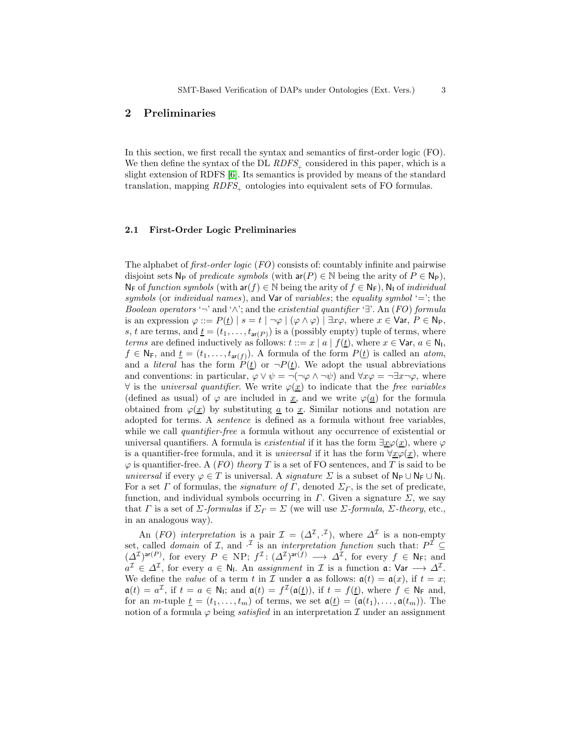## 2 Preliminaries

In this section, we first recall the syntax and semantics of first-order logic (FO). We then define the syntax of the DL  $RDFS_{+}$  considered in this paper, which is a slight extension of RDFS [\[6\]](#page-12-5). Its semantics is provided by means of the standard translation, mapping RDFS<sub>t</sub> ontologies into equivalent sets of FO formulas.

### 2.1 First-Order Logic Preliminaries

The alphabet of *first-order logic* (*FO*) consists of: countably infinite and pairwise disjoint sets  $N_P$  of *predicate symbols* (with  $ar(P) \in N$  being the arity of  $P \in N_P$ ),  $N_F$  of function symbols (with  $ar(f) \in N$  being the arity of  $f \in N_F$ ),  $N_I$  of individual symbols (or individual names), and  $\forall$ ar of variables; the equality symbol '='; the Boolean operators '¬' and ' $\wedge$ '; and the existential quantifier ' $\exists$ '. An (FO) formula is an expression  $\varphi ::= P(\underline{t}) \mid s = t \mid \neg \varphi \mid (\varphi \land \varphi) \mid \exists x \varphi$ , where  $x \in \text{Var}, P \in \mathbb{N}_{\text{P}},$ s, t are terms, and  $\underline{t} = (t_1, \ldots, t_{\text{ar}(P)})$  is a (possibly empty) tuple of terms, where terms are defined inductively as follows:  $t ::= x | a | f(t)$ , where  $x \in \mathsf{Var}, a \in \mathsf{N}_1$ ,  $f \in \mathsf{N}_F$ , and  $\underline{t} = (t_1, \ldots, t_{\operatorname{ar}(f)})$ . A formula of the form  $P(\underline{t})$  is called an *atom*, and a *literal* has the form  $P(t)$  or  $\neg P(t)$ . We adopt the usual abbreviations and conventions: in particular,  $\varphi \vee \psi = \neg(\neg \varphi \wedge \neg \psi)$  and  $\forall x \varphi = \neg \exists x \neg \varphi$ , where  $∀$  is the *universal quantifier*. We write  $φ(x)$  to indicate that the *free variables* (defined as usual) of  $\varphi$  are included in <u>x</u>, and we write  $\varphi(\underline{a})$  for the formula obtained from  $\varphi(\underline{x})$  by substituting <u>a</u> to <u>x</u>. Similar notions and notation are adopted for terms. A sentence is defined as a formula without free variables, while we call *quantifier-free* a formula without any occurrence of existential or universal quantifiers. A formula is *existential* if it has the form  $\exists x \varphi(x)$ , where  $\varphi$ is a quantifier-free formula, and it is *universal* if it has the form  $\forall x \varphi(x)$ , where  $\varphi$  is quantifier-free. A (FO) theory T is a set of FO sentences, and T is said to be universal if every  $\varphi \in T$  is universal. A *signature*  $\Sigma$  is a subset of  $N_P \cup N_F \cup N_I$ . For a set  $\Gamma$  of formulas, the *signature of*  $\Gamma$ , denoted  $\Sigma_{\Gamma}$ , is the set of predicate, function, and individual symbols occurring in  $\Gamma$ . Given a signature  $\Sigma$ , we say that *Γ* is a set of *Σ*-formulas if  $\Sigma_{\Gamma} = \Sigma$  (we will use *Σ*-formula, *Σ*-theory, etc., in an analogous way).

An (FO) interpretation is a pair  $\mathcal{I} = (\Delta^{\mathcal{I}}, \cdot^{\mathcal{I}})$ , where  $\Delta^{\mathcal{I}}$  is a non-empty set, called *domain* of  $I$ , and  $\cdot$ <sup>*I*</sup> is an *interpretation function* such that:  $P^I \subseteq$  $(\Delta^{\mathcal{I}})^{\mathsf{ar}(P)}$ , for every  $P \in \text{NP}$ ;  $f^{\mathcal{I}}: (\Delta^{\mathcal{I}})^{\mathsf{ar}(f)} \longrightarrow \Delta^{\mathcal{I}}$ , for every  $f \in \mathsf{N}_F$ ; and  $a^{\mathcal{I}} \in \Delta^{\mathcal{I}}$ , for every  $a \in \mathsf{N}_{\mathsf{I}}$ . An assignment in  $\mathcal{I}$  is a function  $\mathfrak{a}: \mathsf{Var} \longrightarrow \Delta^{\mathcal{I}}$ . We define the value of a term t in I under  $\mathfrak a$  as follows:  $\mathfrak a(t) = \mathfrak a(x)$ , if  $t = x$ ;  $a(t) = a^{\mathcal{I}}$ , if  $t = a \in \mathbb{N}_1$ ; and  $a(t) = f^{\mathcal{I}}(a(\underline{t}))$ , if  $t = f(\underline{t})$ , where  $f \in \mathbb{N}_{\mathsf{F}}$  and, for an *m*-tuple  $\underline{t} = (t_1, \ldots, t_m)$  of terms, we set  $\mathfrak{a}(\underline{t}) = (\mathfrak{a}(t_1), \ldots, \mathfrak{a}(t_m))$ . The notion of a formula  $\varphi$  being *satisfied* in an interpretation  $\mathcal I$  under an assignment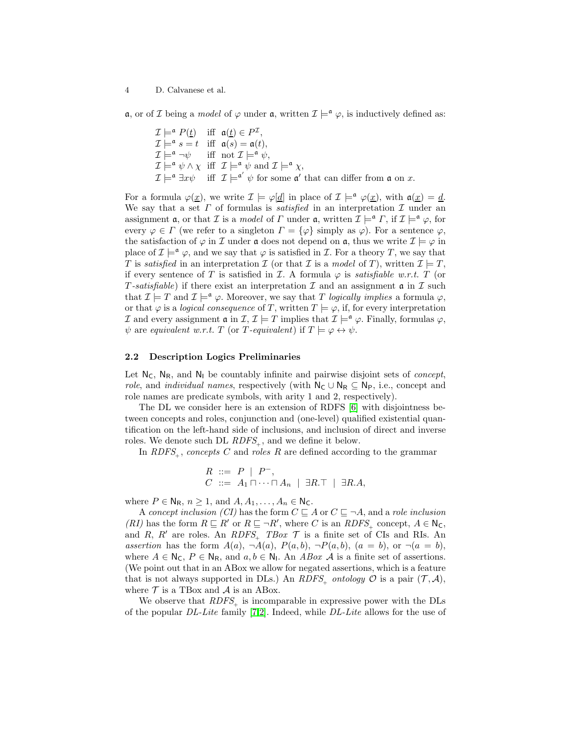**a**, or of *I* being a *model* of  $\varphi$  under **a**, written  $\mathcal{I} \models^{\mathfrak{a}} \varphi$ , is inductively defined as:

 $\mathcal{I} \models^{\mathfrak{a}} P(\underline{t})$  iff  $\mathfrak{a}(\underline{t}) \in P^{\mathcal{I}},$  $\mathcal{I} \models^{\mathfrak{a}} s = t$  iff  $\mathfrak{a}(s) = \mathfrak{a}(t)$ ,  $\mathcal{I} \models^{\mathfrak{a}} \neg \psi$  iff not  $\mathcal{I} \models^{\mathfrak{a}} \psi$ ,  $\mathcal{I} \models^{\mathfrak{a}} \psi \wedge \chi \text{ iff } \mathcal{I} \models^{\mathfrak{a}} \psi \text{ and } \mathcal{I} \models^{\mathfrak{a}} \chi,$  $\mathcal{I} \models^{\mathfrak{a}} \exists x \psi$  iff  $\mathcal{I} \models^{\mathfrak{a}'} \psi$  for some  $\mathfrak{a}'$  that can differ from  $\mathfrak{a}$  on  $x$ .

For a formula  $\varphi(\underline{x})$ , we write  $\mathcal{I} \models \varphi[\underline{d}]$  in place of  $\mathcal{I} \models^{\mathfrak{a}} \varphi(\underline{x})$ , with  $\mathfrak{a}(\underline{x}) = \underline{d}$ . We say that a set  $\Gamma$  of formulas is *satisfied* in an interpretation  $\mathcal I$  under an assignment **a**, or that *I* is a *model* of *Γ* under **a**, written  $\mathcal{I} \models^{\mathfrak{a}} \Gamma$ , if  $\mathcal{I} \models^{\mathfrak{a}} \varphi$ , for every  $\varphi \in \Gamma$  (we refer to a singleton  $\Gamma = {\varphi}$  simply as  $\varphi$ ). For a sentence  $\varphi$ , the satisfaction of  $\varphi$  in I under a does not depend on a, thus we write  $\mathcal{I} \models \varphi$  in place of  $\mathcal{I} \models^{\mathfrak{a}} \varphi$ , and we say that  $\varphi$  is satisfied in  $\mathcal{I}$ . For a theory T, we say that T is satisfied in an interpretation  $\mathcal I$  (or that  $\mathcal I$  is a model of T), written  $\mathcal I \models T$ , if every sentence of T is satisfied in  $\mathcal I$ . A formula  $\varphi$  is *satisfiable w.r.t.* T (or T-satisfiable) if there exist an interpretation  $\mathcal I$  and an assignment  $\mathfrak a$  in  $\mathcal I$  such that  $\mathcal{I} \models T$  and  $\mathcal{I} \models^{\mathfrak{a}} \varphi$ . Moreover, we say that T logically implies a formula  $\varphi$ , or that  $\varphi$  is a *logical consequence* of T, written  $T \models \varphi$ , if, for every interpretation I and every assignment  $\mathfrak{a}$  in  $\mathcal{I}, \mathcal{I} \models T$  implies that  $\mathcal{I} \models^{\mathfrak{a}} \varphi$ . Finally, formulas  $\varphi$ ,  $\psi$  are equivalent w.r.t. T (or T-equivalent) if  $T \models \varphi \leftrightarrow \psi$ .

## 2.2 Description Logics Preliminaries

Let  $N_c$ ,  $N_R$ , and  $N_l$  be countably infinite and pairwise disjoint sets of *concept*, role, and *individual names*, respectively (with  $N_c \cup N_R \subseteq N_P$ , i.e., concept and role names are predicate symbols, with arity 1 and 2, respectively).

The DL we consider here is an extension of RDFS [\[6\]](#page-12-5) with disjointness between concepts and roles, conjunction and (one-level) qualified existential quantification on the left-hand side of inclusions, and inclusion of direct and inverse roles. We denote such DL  $RDFS_{+}$ , and we define it below.

In  $RDFS_{+}$ , concepts C and roles R are defined according to the grammar

$$
\begin{array}{l} R \ ::= \ P \ | \ P^-, \\ C \ ::= \ A_1 \sqcap \cdots \sqcap A_n \ | \ \exists R.\top \ | \ \exists R.A, \end{array}
$$

where  $P \in N_R$ ,  $n \geq 1$ , and  $A, A_1, \ldots, A_n \in N_C$ .

A concept inclusion (CI) has the form  $C \sqsubseteq A$  or  $C \sqsubseteq \neg A$ , and a role inclusion  $(RI)$  has the form  $R \sqsubseteq R'$  or  $R \sqsubseteq \neg R'$ , where C is an  $RDFS_{+}$  concept,  $A \in \mathbb{N}_{\mathsf{C}}$ , and R, R' are roles. An RDFS<sub>+</sub> TBox  $\mathcal T$  is a finite set of CIs and RIs. An assertion has the form  $A(a)$ ,  $\neg A(a)$ ,  $P(a, b)$ ,  $\neg P(a, b)$ ,  $(a = b)$ , or  $\neg(a = b)$ , where  $A \in \mathsf{N}_{\mathsf{C}}$ ,  $P \in \mathsf{N}_{\mathsf{R}}$ , and  $a, b \in \mathsf{N}_{\mathsf{I}}$ . An  $ABox \mathcal{A}$  is a finite set of assertions. (We point out that in an ABox we allow for negated assertions, which is a feature that is not always supported in DLs.) An  $RDFS_{\perp}$  ontology  $\mathcal O$  is a pair  $(\mathcal T, \mathcal A)$ , where  $\mathcal T$  is a TBox and  $\mathcal A$  is an ABox.

We observe that  $RDFS_{+}$  is incomparable in expressive power with the DLs of the popular DL-Lite family [\[7,](#page-12-9)[2\]](#page-12-10). Indeed, while DL-Lite allows for the use of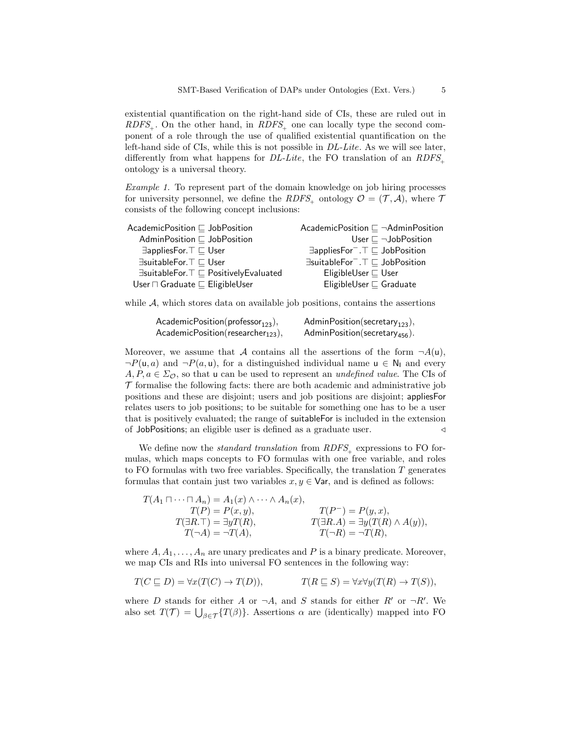existential quantification on the right-hand side of CIs, these are ruled out in  $RDFS_{+}$ . On the other hand, in  $RDFS_{+}$  one can locally type the second component of a role through the use of qualified existential quantification on the left-hand side of CIs, while this is not possible in DL-Lite. As we will see later, differently from what happens for  $DL\text{-}Lite$ , the FO translation of an  $RDFS_{+}$ ontology is a universal theory.

<span id="page-4-0"></span>Example 1. To represent part of the domain knowledge on job hiring processes for university personnel, we define the RDFS<sub>+</sub> ontology  $\mathcal{O} = (\mathcal{T}, \mathcal{A})$ , where  $\mathcal{T}$ consists of the following concept inclusions:

| AcademicPosition $\sqsubset$ JobPosition                      | AcademicPosition $\Box$ $\neg$ AdminPosition                     |
|---------------------------------------------------------------|------------------------------------------------------------------|
| AdminPosition $\sqsubset$ JobPosition                         | User $\sqsubseteq \neg$ Job Position                             |
| $\exists$ appliesFor. $\top \sqsubseteq U$ ser                | $\exists$ appliesFor $\bar{ }$ . $\top \sqsubseteq$ JobPosition  |
| ∃suitableFor. T ⊏ User                                        | $\exists$ suitableFor $\bar{ }$ . $\top \sqsubseteq$ JobPosition |
| $\exists$ suitableFor. $\top \sqsubseteq$ PositivelyEvaluated | EligibleUser $\sqsubseteq$ User                                  |
| User $\sqcap$ Graduate $\sqsubseteq$ EligibleUser             | EligibleUser $\sqsubseteq$ Graduate                              |
|                                                               |                                                                  |

while  $A$ , which stores data on available job positions, contains the assertions

| Academic $\mathsf{Position}(\mathsf{professor}_{123}),$  | AdminPosition(secretary <sub>123</sub> ),  |
|----------------------------------------------------------|--------------------------------------------|
| Academic $\mathsf{Position}(\mathsf{researcher}_{123}),$ | AdminPosition (secretary <sub>456</sub> ). |

Moreover, we assume that A contains all the assertions of the form  $\neg A(u)$ ,  $\neg P(\mathsf{u}, a)$  and  $\neg P(a, \mathsf{u})$ , for a distinguished individual name  $\mathsf{u} \in \mathsf{N}_1$  and every  $A, P, a \in \Sigma_{\mathcal{O}}$ , so that u can be used to represent an *undefined value*. The CIs of  $\mathcal T$  formalise the following facts: there are both academic and administrative job positions and these are disjoint; users and job positions are disjoint; appliesFor relates users to job positions; to be suitable for something one has to be a user that is positively evaluated; the range of suitableFor is included in the extension of JobPositions; an eligible user is defined as a graduate user. ⊳

We define now the *standard translation* from  $RDFS_{+}$  expressions to FO formulas, which maps concepts to FO formulas with one free variable, and roles to FO formulas with two free variables. Specifically, the translation  $T$  generates formulas that contain just two variables  $x, y \in \mathsf{Var}$ , and is defined as follows:

$$
T(A_1 \sqcap \cdots \sqcap A_n) = A_1(x) \land \cdots \land A_n(x),
$$
  
\n
$$
T(P) = P(x, y),
$$
  
\n
$$
T(\exists R. \top) = \exists y T(R),
$$
  
\n
$$
T(\neg A) = \neg T(A),
$$
  
\n
$$
T(A_1 \sqcap \cdots \sqcap A_n) = P(y, x),
$$
  
\n
$$
T(B \land A) = \exists y (T(R) \land A(y)),
$$
  
\n
$$
T(\neg A) = \neg T(A),
$$
  
\n
$$
T(\neg R) = \neg T(R),
$$

where  $A, A_1, \ldots, A_n$  are unary predicates and P is a binary predicate. Moreover, we map CIs and RIs into universal FO sentences in the following way:

$$
T(C \sqsubseteq D) = \forall x (T(C) \to T(D)), \qquad T(R \sqsubseteq S) = \forall x \forall y (T(R) \to T(S)),
$$

where D stands for either A or  $\neg A$ , and S stands for either  $R'$  or  $\neg R'$ . We also set  $T(\mathcal{T}) = \bigcup_{\beta \in \mathcal{T}} \{T(\beta)\}\.$  Assertions  $\alpha$  are (identically) mapped into FO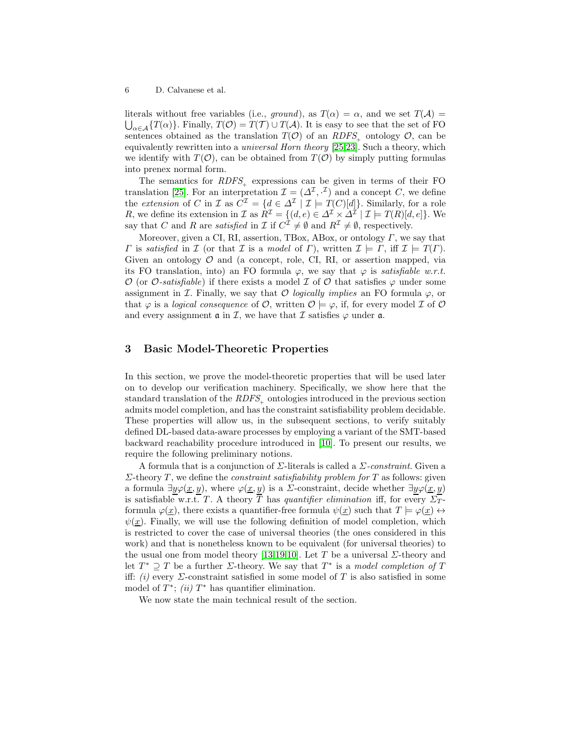literals without free variables (i.e., ground), as  $T(\alpha) = \alpha$ , and we set  $T(\mathcal{A}) =$  $\bigcup_{\alpha\in\mathcal{A}}\{T(\alpha)\}\.$  Finally,  $T(\mathcal{O})=T(\mathcal{T})\cup T(\mathcal{A})$ . It is easy to see that the set of FO sentences obtained as the translation  $T(\mathcal{O})$  of an  $RDFS_{+}$  ontology  $\mathcal{O}$ , can be equivalently rewritten into a universal Horn theory [\[25](#page-13-10)[,23\]](#page-13-11). Such a theory, which we identify with  $T(\mathcal{O})$ , can be obtained from  $T(\mathcal{O})$  by simply putting formulas into prenex normal form.

The semantics for  $RDFS_{+}$  expressions can be given in terms of their FO translation [\[25\]](#page-13-10). For an interpretation  $\mathcal{I} = (\Delta^{\mathcal{I}}, \mathcal{I})$  and a concept C, we define the extension of C in I as  $C^{\mathcal{I}} = \{d \in \Delta^{\mathcal{I}} \mid \mathcal{I} \models T(C)[d]\}.$  Similarly, for a role R, we define its extension in  $\mathcal I$  as  $R^{\mathcal I} = \{(d,e) \in \Delta^{\mathcal I} \times \Delta^{\mathcal I} \mid \mathcal I \models T(R)[d,e]\}.$  We say that C and R are satisfied in I if  $C^{\mathcal{I}} \neq \emptyset$  and  $R^{\mathcal{I}} \neq \emptyset$ , respectively.

Moreover, given a CI, RI, assertion, TBox, ABox, or ontology  $\Gamma$ , we say that *Γ* is satisfied in *I* (or that *I* is a model of *Γ*), written  $I \models \Gamma$ , iff  $I \models T(\Gamma)$ . Given an ontology  $\mathcal O$  and (a concept, role, CI, RI, or assertion mapped, via its FO translation, into) an FO formula  $\varphi$ , we say that  $\varphi$  is *satisfiable w.r.t.* O (or O-satisfiable) if there exists a model  $\mathcal I$  of  $\mathcal O$  that satisfies  $\varphi$  under some assignment in I. Finally, we say that O logically implies an FO formula  $\varphi$ , or that  $\varphi$  is a logical consequence of  $\mathcal{O}$ , written  $\mathcal{O} \models \varphi$ , if, for every model  $\mathcal I$  of  $\mathcal O$ and every assignment  $\mathfrak a$  in  $\mathcal I$ , we have that  $\mathcal I$  satisfies  $\varphi$  under  $\mathfrak a$ .

## <span id="page-5-1"></span>3 Basic Model-Theoretic Properties

In this section, we prove the model-theoretic properties that will be used later on to develop our verification machinery. Specifically, we show here that the standard translation of the  $RDFS_{\perp}$  ontologies introduced in the previous section admits model completion, and has the constraint satisfiability problem decidable. These properties will allow us, in the subsequent sections, to verify suitably defined DL-based data-aware processes by employing a variant of the SMT-based backward reachability procedure introduced in [\[10\]](#page-12-3). To present our results, we require the following preliminary notions.

A formula that is a conjunction of  $\Sigma$ -literals is called a  $\Sigma$ -constraint. Given a  $\Sigma$ -theory T, we define the *constraint satisfiability problem for* T as follows: given a formula  $\exists y \varphi(\underline{x}, y)$ , where  $\varphi(\underline{x}, y)$  is a  $\Sigma$ -constraint, decide whether  $\exists y \varphi(\underline{x}, y)$ is satisfiable w.r.t. T. A theory  $\overline{T}$  has quantifier elimination iff, for every  $\Sigma_{T}$ formula  $\varphi(\underline{x})$ , there exists a quantifier-free formula  $\psi(\underline{x})$  such that  $T \models \varphi(\underline{x}) \leftrightarrow$  $\psi(x)$ . Finally, we will use the following definition of model completion, which is restricted to cover the case of universal theories (the ones considered in this work) and that is nonetheless known to be equivalent (for universal theories) to the usual one from model theory [\[13,](#page-12-11)[19,](#page-13-12)[10\]](#page-12-3). Let T be a universal  $\Sigma$ -theory and let  $T^* \supseteq T$  be a further  $\Sigma$ -theory. We say that  $T^*$  is a model completion of T iff: (i) every  $\Sigma$ -constraint satisfied in some model of T is also satisfied in some model of  $T^*$ ; (ii)  $T^*$  has quantifier elimination.

<span id="page-5-0"></span>We now state the main technical result of the section.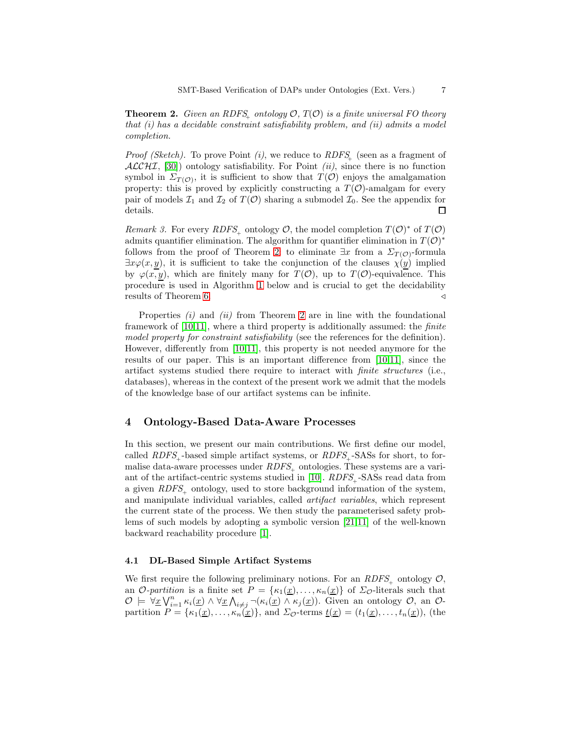**Theorem 2.** Given an RDFS<sub>+</sub> ontology  $\mathcal{O}, T(\mathcal{O})$  is a finite universal FO theory that (i) has a decidable constraint satisfiability problem, and (ii) admits a model completion.

*Proof (Sketch)*. To prove Point *(i)*, we reduce to  $RDFS_{\perp}$  (seen as a fragment of  $ALCHI, [30]$  $ALCHI, [30]$  ontology satisfiability. For Point *(ii)*, since there is no function symbol in  $\Sigma_{T(\mathcal{O})}$ , it is sufficient to show that  $T(\mathcal{O})$  enjoys the amalgamation property: this is proved by explicitly constructing a  $T(\mathcal{O})$ -amalgam for every pair of models  $\mathcal{I}_1$  and  $\mathcal{I}_2$  of  $T(\mathcal{O})$  sharing a submodel  $\mathcal{I}_0$ . See the appendix for details. □

<span id="page-6-0"></span>Remark 3. For every RDFS<sub>+</sub> ontology  $\mathcal{O}$ , the model completion  $T(\mathcal{O})^*$  of  $T(\mathcal{O})$ admits quantifier elimination. The algorithm for quantifier elimination in  $T(\mathcal{O})^*$ follows from the proof of Theorem [2:](#page-5-0) to eliminate  $\exists x$  from a  $\Sigma_{T(\mathcal{O})}$ -formula  $\exists x \varphi(x, y)$ , it is sufficient to take the conjunction of the clauses  $\chi(y)$  implied by  $\varphi(x, y)$ , which are finitely many for  $T(\mathcal{O})$ , up to  $T(\mathcal{O})$ -equivalence. This procedure is used in Algorithm [1](#page-9-0) below and is crucial to get the decidability results of Theorem [6.](#page-10-0)  $\triangleleft$ 

Properties  $(i)$  and  $(ii)$  from Theorem [2](#page-5-0) are in line with the foundational framework of [\[10,](#page-12-3)[11\]](#page-12-4), where a third property is additionally assumed: the finite model property for constraint satisfiability (see the references for the definition). However, differently from [\[10](#page-12-3)[,11\]](#page-12-4), this property is not needed anymore for the results of our paper. This is an important difference from [\[10](#page-12-3)[,11\]](#page-12-4), since the artifact systems studied there require to interact with finite structures (i.e., databases), whereas in the context of the present work we admit that the models of the knowledge base of our artifact systems can be infinite.

## <span id="page-6-1"></span>4 Ontology-Based Data-Aware Processes

In this section, we present our main contributions. We first define our model, called  $RDFS_{\perp}$  -based simple artifact systems, or  $RDFS_{\perp}$  -SASs for short, to formalise data-aware processes under  $RDFS_{+}$  ontologies. These systems are a vari-ant of the artifact-centric systems studied in [\[10\]](#page-12-3).  $RDFS_{+}$ -SASs read data from a given  $RDFS_{\perp}$  ontology, used to store background information of the system, and manipulate individual variables, called artifact variables, which represent the current state of the process. We then study the parameterised safety problems of such models by adopting a symbolic version [\[21](#page-13-13)[,11\]](#page-12-4) of the well-known backward reachability procedure [\[1\]](#page-12-12).

#### 4.1 DL-Based Simple Artifact Systems

We first require the following preliminary notions. For an  $RDFS_{\perp}$  ontology  $\mathcal{O}$ , an O-partition is a finite set  $P = {\kappa_1(\underline{x}), \ldots, \kappa_n(\underline{x})}$  of  $\Sigma_{\mathcal{O}}$ -literals such that  $\mathcal{O} \models \forall \underline{x} \bigvee_{i=1}^n \kappa_i(\underline{x}) \wedge \forall \underline{x} \bigwedge_{i \neq j} \neg(\kappa_i(\underline{x}) \wedge \kappa_j(\underline{x}))$ . Given an ontology  $\mathcal{O}$ , an  $\mathcal{O}$ partition  $P = {\kappa_1(\underline{x}), \ldots, \kappa_n(\underline{x})}$ , and  $\Sigma_{\mathcal{O}}$ -terms  $\underline{t}(\underline{x}) = (t_1(\underline{x}), \ldots, t_n(\underline{x})),$  (the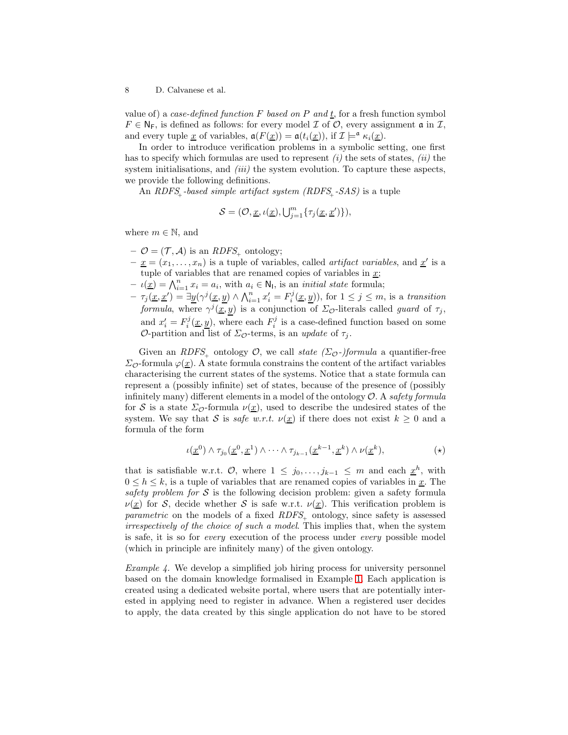value of) a case-defined function F based on P and t, for a fresh function symbol  $F \in \mathsf{N}_F$ , is defined as follows: for every model  $\mathcal I$  of  $\mathcal O$ , every assignment  $\mathfrak a$  in  $\mathcal I$ , and every tuple <u>x</u> of variables,  $a(F(\underline{x})) = a(t_i(\underline{x}))$ , if  $\mathcal{I} \models^{\mathfrak{a}} \kappa_i(\underline{x})$ .

In order to introduce verification problems in a symbolic setting, one first has to specify which formulas are used to represent  $(i)$  the sets of states,  $(ii)$  the system initialisations, and  $(iii)$  the system evolution. To capture these aspects, we provide the following definitions.

An  $RDFS_{+}$ -based simple artifact system  $(RDFS_{+}$ -SAS) is a tuple

$$
\mathcal{S} = (\mathcal{O}, \underline{x}, \iota(\underline{x}), \bigcup_{j=1}^m \{\tau_j(\underline{x}, \underline{x}')\}),
$$

where  $m \in \mathbb{N}$ , and

- $\mathcal{O} = (\mathcal{T}, \mathcal{A})$  is an  $RDFS_{+}$  ontology;
- $-\underline{x} = (x_1, \ldots, x_n)$  is a tuple of variables, called *artifact variables*, and  $\underline{x}'$  is a tuple of variables that are renamed copies of variables in  $\underline{x}$ ;
- $-\iota(\underline{x}) = \bigwedge_{i=1}^n x_i = a_i$ , with  $a_i \in \mathsf{N}_1$ , is an *initial state* formula;
- $-\tau_j(\underline{x}, \underline{x}') = \exists \underline{y} (\gamma^j(\underline{x}, \underline{y}) \wedge \bigwedge_{i=1}^n x'_i = F_i^j(\underline{x}, \underline{y}))$ , for  $1 \leq j \leq m$ , is a transition formula, where  $\gamma^{j}(\underline{x}, y)$  is a conjunction of  $\Sigma_{\mathcal{O}}$ -literals called *guard* of  $\tau_{j}$ , and  $x'_{i} = F_{i}^{j}(\underline{x}, \underline{y})$ , where each  $F_{i}^{j}$  is a case-defined function based on some O-partition and list of  $\Sigma_{\mathcal{O}}$ -terms, is an update of  $\tau_j$ .

Given an RDFS<sub>+</sub> ontology  $\mathcal{O}$ , we call state ( $\Sigma_{\mathcal{O}}$ -)formula a quantifier-free  $\Sigma_{\mathcal{O}}$ -formula  $\varphi(\underline{x})$ . A state formula constrains the content of the artifact variables characterising the current states of the systems. Notice that a state formula can represent a (possibly infinite) set of states, because of the presence of (possibly infinitely many) different elements in a model of the ontology  $\mathcal{O}$ . A safety formula for S is a state  $\Sigma_{\mathcal{O}}$ -formula  $\nu(\underline{x})$ , used to describe the undesired states of the system. We say that S is safe w.r.t.  $\nu(\underline{x})$  if there does not exist  $k \geq 0$  and a formula of the form

<span id="page-7-0"></span>
$$
\iota(\underline{x}^0) \wedge \tau_{j_0}(\underline{x}^0, \underline{x}^1) \wedge \cdots \wedge \tau_{j_{k-1}}(\underline{x}^{k-1}, \underline{x}^k) \wedge \nu(\underline{x}^k), \qquad (\star)
$$

that is satisfiable w.r.t.  $\mathcal{O}$ , where  $1 \leq j_0, \ldots, j_{k-1} \leq m$  and each  $\underline{x}^h$ , with  $0 \leq h \leq k$ , is a tuple of variables that are renamed copies of variables in  $\underline{x}$ . The safety problem for  $S$  is the following decision problem: given a safety formula  $\nu(\underline{x})$  for S, decide whether S is safe w.r.t.  $\nu(\underline{x})$ . This verification problem is parametric on the models of a fixed  $RDFS_{+}$  ontology, since safety is assessed irrespectively of the choice of such a model. This implies that, when the system is safe, it is so for every execution of the process under every possible model (which in principle are infinitely many) of the given ontology.

*Example 4.* We develop a simplified job hiring process for university personnel based on the domain knowledge formalised in Example [1.](#page-4-0) Each application is created using a dedicated website portal, where users that are potentially interested in applying need to register in advance. When a registered user decides to apply, the data created by this single application do not have to be stored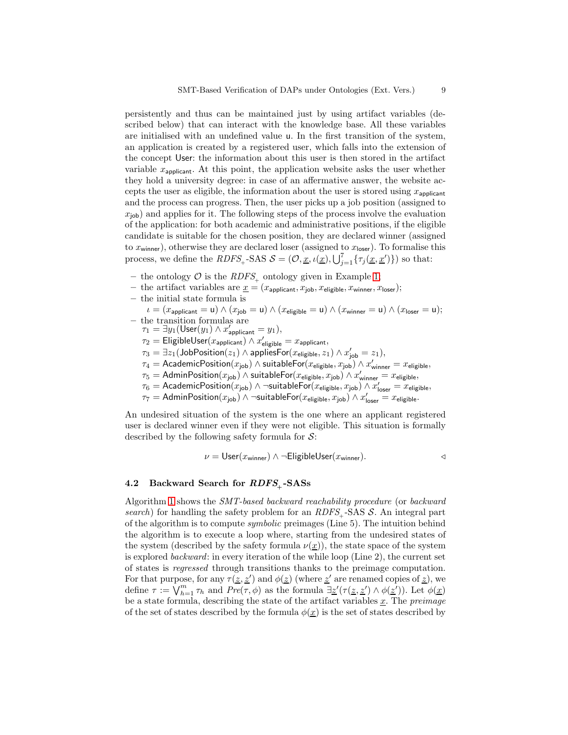persistently and thus can be maintained just by using artifact variables (described below) that can interact with the knowledge base. All these variables are initialised with an undefined value u. In the first transition of the system, an application is created by a registered user, which falls into the extension of the concept User: the information about this user is then stored in the artifact variable  $x_{\text{nonlinear}}$ . At this point, the application website asks the user whether they hold a university degree: in case of an affermative answer, the website accepts the user as eligible, the information about the user is stored using  $x_{\text{application}}$ and the process can progress. Then, the user picks up a job position (assigned to  $x_{\text{job}}$ ) and applies for it. The following steps of the process involve the evaluation of the application: for both academic and administrative positions, if the eligible candidate is suitable for the chosen position, they are declared winner (assigned to  $x_{\text{winner}}$ , otherwise they are declared loser (assigned to  $x_{\text{loser}}$ ). To formalise this process, we define the  $RDFS_+$ -SAS  $S = (\mathcal{O}, \underline{x}, \iota(\underline{x}), \bigcup_{j=1}^7 \{\tau_j(\underline{x}, \underline{x}')\})$  so that:

- the ontology  $\mathcal O$  is the *RDFS*, ontology given in Example [1;](#page-4-0)
- the artifact variables are  $\underline{x} = (x_{\mathsf{applicant}}, x_{\mathsf{job}}, x_{\mathsf{eligible}}, x_{\mathsf{winner}}, x_{\mathsf{loser}});$
- the initial state formula is
- $\iota = (x_\mathsf{application} = \mathsf{u}) \land (x_\mathsf{job} = \mathsf{u}) \land (x_\mathsf{eligible} = \mathsf{u}) \land (x_\mathsf{winner} = \mathsf{u}) \land (x_\mathsf{loser} = \mathsf{u});$ – the transition formulas are
	- $\tau_1 = \exists y_1 (\mathsf{User}(y_1) \land x'_{\mathsf{applicant}} = y_1),$
	- $\tau_2 = \mathsf{EligibleUser}(x_\mathsf{applicant}) \land x'_\mathsf{eligible} = x_\mathsf{applicant},$
	- $\tau_3 = \exists z_1(\mathsf{JobPosition}(z_1) \land \mathsf{appliesFor}(x_\mathsf{eligible}, z_1) \land x'_\mathsf{job} = z_1),$
	- $\tau_4 = \mathsf{AcademicPosition}(x_{\mathsf{job}}) \wedge \mathsf{suitableFor}(x_{\mathsf{eligible}}, x_{\mathsf{job}}) \wedge x'_{\mathsf{winner}} = x_{\mathsf{eligible}},$
	- $\tau_5 = \mathsf{AdminPosition}(x_\mathsf{job})$   $\land$  suitable $\mathsf{For}(x_\mathsf{eligible},x_\mathsf{job})$   $\land$   $x'_\mathsf{winner} = x_\mathsf{eligible},$
	- $\tau_6 = \mathsf{AcademicPosition}(x_{\mathsf{job}}) \land \neg \mathsf{suitableFor}(x_{\mathsf{eligible}}, x_{\mathsf{job}}) \land x'_{\mathsf{loser}} = x_{\mathsf{eligible}},$
	- $\tau_7 = \mathsf{AdminPosition}(x_\mathsf{job}) \land \neg \mathsf{suitableFor}(x_\mathsf{eligible}, x_\mathsf{job}) \land x_\mathsf{loser}' = x_\mathsf{eligible}.$

An undesired situation of the system is the one where an applicant registered user is declared winner even if they were not eligible. This situation is formally described by the following safety formula for  $S$ :

$$
\nu = \text{User}(x_{\text{winner}}) \land \neg \text{EligibleUser}(x_{\text{winner}}).
$$

## 4.2 Backward Search for  $RDFS_{+}$ -SASs

<span id="page-8-0"></span>Algorithm [1](#page-8-0) shows the SMT-based backward reachability procedure (or backward search) for handling the safety problem for an  $RDFS_{\perp}$ -SAS S. An integral part of the algorithm is to compute symbolic preimages (Line 5). The intuition behind the algorithm is to execute a loop where, starting from the undesired states of the system (described by the safety formula  $\nu(\underline{x})$ ), the state space of the system is explored backward: in every iteration of the while loop (Line 2), the current set of states is regressed through transitions thanks to the preimage computation. For that purpose, for any  $\tau(\underline{z}, \underline{z}')$  and  $\phi(\underline{z})$  (where  $\underline{z}'$  are renamed copies of  $\underline{z}$ ), we define  $\tau := \bigvee_{h=1}^m \tau_h$  and  $Pre(\tau, \phi)$  as the formula  $\exists \underline{z}'(\tau(\underline{z}, \underline{z}') \wedge \phi(\underline{z}'))$ . Let  $\phi(\underline{x})$ be a state formula, describing the state of the artifact variables  $\underline{x}$ . The preimage of the set of states described by the formula  $\phi(\underline{x})$  is the set of states described by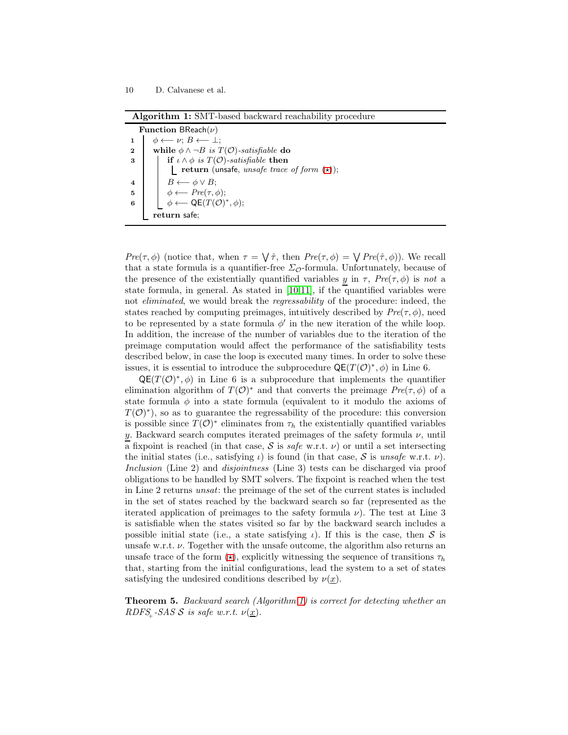|                                | Algorithm 1: SMT-based backward reachability procedure |
|--------------------------------|--------------------------------------------------------|
| <b>Function</b> BReach $(\nu)$ |                                                        |

| <b>FULLCOUL DITEACH P</b> |                                                               |  |
|---------------------------|---------------------------------------------------------------|--|
|                           | $\phi \leftarrow \nu: B \leftarrow \bot:$                     |  |
| $\mathbf{2}$              | while $\phi \land \neg B$ is $T(\mathcal{O})$ -satisfiable do |  |
| 3                         | if $\iota \wedge \phi$ is $T(\mathcal{O})$ -satisfiable then  |  |
|                           | <b>return</b> (unsafe, unsafe trace of form $(\star)$ );      |  |
| 4                         | $B \leftarrow \phi \vee B$                                    |  |
| 5                         | $\phi \longleftarrow \text{Pre}(\tau, \phi);$                 |  |
| 6                         | $\phi \longleftarrow \mathsf{QE}(T(\mathcal{O})^*, \phi);$    |  |
|                           | return safe:                                                  |  |

<span id="page-9-0"></span>Pre( $\tau$ ,  $\phi$ ) (notice that, when  $\tau = \sqrt{\hat{\tau}}$ , then  $Pre(\tau, \phi) = \sqrt{Pre(\hat{\tau}, \phi)}$ ). We recall that a state formula is a quantifier-free  $\Sigma_{\mathcal{O}}$ -formula. Unfortunately, because of the presence of the existentially quantified variables y in  $\tau$ ,  $Pre(\tau, \phi)$  is not a state formula, in general. As stated in [\[10](#page-12-3)[,11\]](#page-12-4), if the quantified variables were not eliminated, we would break the regressability of the procedure: indeed, the states reached by computing preimages, intuitively described by  $Pre(\tau, \phi)$ , need to be represented by a state formula  $\phi'$  in the new iteration of the while loop. In addition, the increase of the number of variables due to the iteration of the preimage computation would affect the performance of the satisfiability tests described below, in case the loop is executed many times. In order to solve these issues, it is essential to introduce the subprocedure  $\mathsf{QE}(T(\mathcal{O})^*,\phi)$  in Line 6.

 $QE(T(\mathcal{O})^*,\phi)$  in Line 6 is a subprocedure that implements the quantifier elimination algorithm of  $T(\mathcal{O})^*$  and that converts the preimage  $Pre(\tau, \phi)$  of a state formula  $\phi$  into a state formula (equivalent to it modulo the axioms of  $T(\mathcal{O})^*$ , so as to guarantee the regressability of the procedure: this conversion is possible since  $T(\mathcal{O})^*$  eliminates from  $\tau_h$  the existentially quantified variables y. Backward search computes iterated preimages of the safety formula  $\nu$ , until a fixpoint is reached (in that case,  $S$  is safe w.r.t.  $\nu$ ) or until a set intersecting the initial states (i.e., satisfying  $\iota$ ) is found (in that case, S is unsafe w.r.t.  $\nu$ ). Inclusion (Line 2) and *disjointness* (Line 3) tests can be discharged via proof obligations to be handled by SMT solvers. The fixpoint is reached when the test in Line 2 returns unsat: the preimage of the set of the current states is included in the set of states reached by the backward search so far (represented as the iterated application of preimages to the safety formula  $\nu$ ). The test at Line 3 is satisfiable when the states visited so far by the backward search includes a possible initial state (i.e., a state satisfying  $\iota$ ). If this is the case, then S is unsafe w.r.t.  $\nu$ . Together with the unsafe outcome, the algorithm also returns an unsafe trace of the form  $(\star)$ , explicitly witnessing the sequence of transitions  $\tau_h$ that, starting from the initial configurations, lead the system to a set of states satisfying the undesired conditions described by  $\nu(x)$ .

<span id="page-9-1"></span>Theorem 5. Backward search (Algorithm [1\)](#page-8-0) is correct for detecting whether an RDFS<sub>+</sub>-SAS S is safe w.r.t.  $\nu(\underline{x})$ .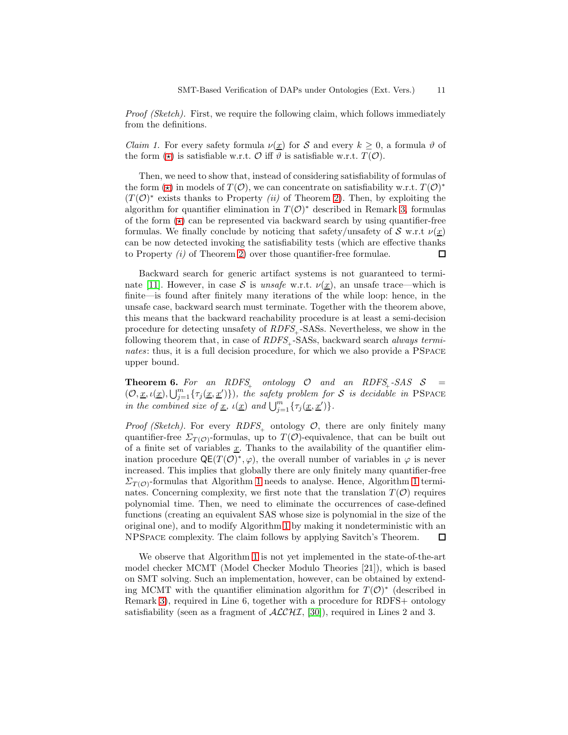<span id="page-10-1"></span>Proof (Sketch). First, we require the following claim, which follows immediately from the definitions.

*Claim 1.* For every safety formula  $\nu(\underline{x})$  for S and every  $k \geq 0$ , a formula  $\vartheta$  of the form  $(\star)$  is satisfiable w.r.t. O iff  $\vartheta$  is satisfiable w.r.t.  $T(\mathcal{O})$ .

Then, we need to show that, instead of considering satisfiability of formulas of the form  $(\star)$  in models of  $T(\mathcal{O})$ , we can concentrate on satisfiability w.r.t.  $T(\mathcal{O})^*$  $(T(\mathcal{O})^*)$  exists thanks to Property (ii) of Theorem [2\)](#page-5-0). Then, by exploiting the algorithm for quantifier elimination in  $T(\mathcal{O})^*$  described in Remark [3,](#page-6-0) formulas of the form  $(\star)$  can be represented via backward search by using quantifier-free formulas. We finally conclude by noticing that safety/unsafety of S w.r.t  $\nu(x)$ can be now detected invoking the satisfiability tests (which are effective thanks to Property  $(i)$  of Theorem [2\)](#page-5-0) over those quantifier-free formulae.  $\Box$ 

Backward search for generic artifact systems is not guaranteed to termi-nate [\[11\]](#page-12-4). However, in case S is unsafe w.r.t.  $\nu(\underline{x})$ , an unsafe trace—which is finite—is found after finitely many iterations of the while loop: hence, in the unsafe case, backward search must terminate. Together with the theorem above, this means that the backward reachability procedure is at least a semi-decision procedure for detecting unsafety of  $RDFS_{\perp}$ -SASs. Nevertheless, we show in the following theorem that, in case of  $RDFS$ , -SASs, backward search *always termi*nates: thus, it is a full decision procedure, for which we also provide a PSPACE upper bound.

<span id="page-10-0"></span>**Theorem 6.** For an RDFS<sub>+</sub> ontology  $\mathcal{O}$  and an RDFS<sub>+</sub>-SAS  $\mathcal{S}$  =  $(0, \underline{x}, \iota(\underline{x}), \bigcup_{j=1}^m {\{\tau_j(\underline{x}, \underline{x}')\}}),$  the safety problem for S is decidable in PSPACE in the combined size of <u>x</u>,  $\iota(\underline{x})$  and  $\bigcup_{j=1}^{m} {\{\tau_j(\underline{x}, \underline{x}')\}}$ .

*Proof (Sketch)*. For every  $RDFS_{+}$  ontology  $O$ , there are only finitely many quantifier-free  $\Sigma_{T(\mathcal{O})}$ -formulas, up to  $T(\mathcal{O})$ -equivalence, that can be built out of a finite set of variables  $\underline{x}$ . Thanks to the availability of the quantifier elimination procedure  $QE(T(\mathcal{O})^*, \varphi)$ , the overall number of variables in  $\varphi$  is never increased. This implies that globally there are only finitely many quantifier-free  $\Sigma_{T(\mathcal{O})}$ -formulas that Algorithm [1](#page-9-0) needs to analyse. Hence, Algorithm 1 terminates. Concerning complexity, we first note that the translation  $T(\mathcal{O})$  requires polynomial time. Then, we need to eliminate the occurrences of case-defined functions (creating an equivalent SAS whose size is polynomial in the size of the original one), and to modify Algorithm [1](#page-9-0) by making it nondeterministic with an NPSpace complexity. The claim follows by applying Savitch's Theorem.  $\Box$ 

We observe that Algorithm [1](#page-9-0) is not yet implemented in the state-of-the-art model checker MCMT (Model Checker Modulo Theories [21]), which is based on SMT solving. Such an implementation, however, can be obtained by extending MCMT with the quantifier elimination algorithm for  $T(\mathcal{O})^*$  (described in Remark [3\)](#page-6-0), required in Line 6, together with a procedure for RDFS+ ontology satisfiability (seen as a fragment of  $\text{ALCHI}, [30]$  $\text{ALCHI}, [30]$ ), required in Lines 2 and 3.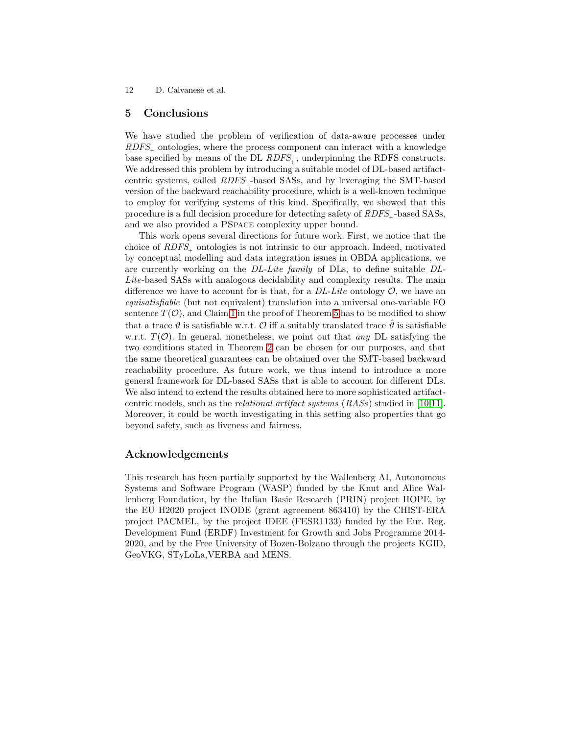## 5 Conclusions

We have studied the problem of verification of data-aware processes under  $RDFS_{+}$  ontologies, where the process component can interact with a knowledge base specified by means of the DL  $RDFS_{+}$ , underpinning the RDFS constructs. We addressed this problem by introducing a suitable model of DL-based artifactcentric systems, called  $RDFS_{\perp}$ -based SASs, and by leveraging the SMT-based version of the backward reachability procedure, which is a well-known technique to employ for verifying systems of this kind. Specifically, we showed that this procedure is a full decision procedure for detecting safety of  $RDFS_{\perp}$ -based SASs, and we also provided a PSpace complexity upper bound.

This work opens several directions for future work. First, we notice that the choice of RDFS<sub>t</sub> ontologies is not intrinsic to our approach. Indeed, motivated by conceptual modelling and data integration issues in OBDA applications, we are currently working on the DL-Lite family of DLs, to define suitable DL-Lite-based SASs with analogous decidability and complexity results. The main difference we have to account for is that, for a  $DL\text{-}Life$  ontology  $\mathcal{O}$ , we have an equisatisfiable (but not equivalent) translation into a universal one-variable FO sentence  $T(\mathcal{O})$ , and Claim [1](#page-10-1) in the proof of Theorem [5](#page-9-1) has to be modified to show that a trace  $\vartheta$  is satisfiable w.r.t. O iff a suitably translated trace  $\vartheta$  is satisfiable w.r.t.  $T(\mathcal{O})$ . In general, nonetheless, we point out that any DL satisfying the two conditions stated in Theorem [2](#page-5-0) can be chosen for our purposes, and that the same theoretical guarantees can be obtained over the SMT-based backward reachability procedure. As future work, we thus intend to introduce a more general framework for DL-based SASs that is able to account for different DLs. We also intend to extend the results obtained here to more sophisticated artifactcentric models, such as the relational artifact systems (RASs) studied in [\[10](#page-12-3)[,11\]](#page-12-4). Moreover, it could be worth investigating in this setting also properties that go beyond safety, such as liveness and fairness.

# Acknowledgements

This research has been partially supported by the Wallenberg AI, Autonomous Systems and Software Program (WASP) funded by the Knut and Alice Wallenberg Foundation, by the Italian Basic Research (PRIN) project HOPE, by the EU H2020 project INODE (grant agreement 863410) by the CHIST-ERA project PACMEL, by the project IDEE (FESR1133) funded by the Eur. Reg. Development Fund (ERDF) Investment for Growth and Jobs Programme 2014- 2020, and by the Free University of Bozen-Bolzano through the projects KGID, GeoVKG, STyLoLa,VERBA and MENS.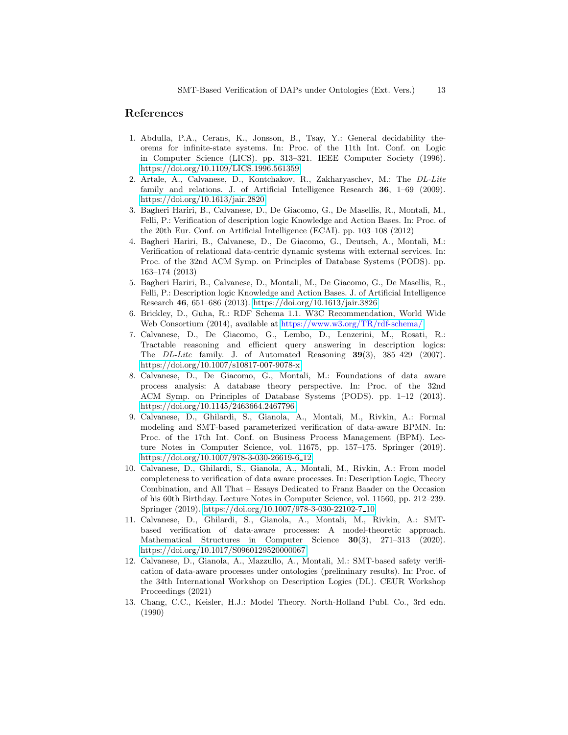## <span id="page-12-12"></span>References

- 1. Abdulla, P.A., Cerans, K., Jonsson, B., Tsay, Y.: General decidability theorems for infinite-state systems. In: Proc. of the 11th Int. Conf. on Logic in Computer Science (LICS). pp. 313–321. IEEE Computer Society (1996). <https://doi.org/10.1109/LICS.1996.561359>
- <span id="page-12-10"></span>2. Artale, A., Calvanese, D., Kontchakov, R., Zakharyaschev, M.: The DL-Lite family and relations. J. of Artificial Intelligence Research 36, 1–69 (2009). <https://doi.org/10.1613/jair.2820>
- <span id="page-12-6"></span>3. Bagheri Hariri, B., Calvanese, D., De Giacomo, G., De Masellis, R., Montali, M., Felli, P.: Verification of description logic Knowledge and Action Bases. In: Proc. of the 20th Eur. Conf. on Artificial Intelligence (ECAI). pp. 103–108 (2012)
- <span id="page-12-2"></span>4. Bagheri Hariri, B., Calvanese, D., De Giacomo, G., Deutsch, A., Montali, M.: Verification of relational data-centric dynamic systems with external services. In: Proc. of the 32nd ACM Symp. on Principles of Database Systems (PODS). pp. 163–174 (2013)
- <span id="page-12-7"></span>5. Bagheri Hariri, B., Calvanese, D., Montali, M., De Giacomo, G., De Masellis, R., Felli, P.: Description logic Knowledge and Action Bases. J. of Artificial Intelligence Research 46, 651–686 (2013).<https://doi.org/10.1613/jair.3826>
- <span id="page-12-9"></span><span id="page-12-5"></span>6. Brickley, D., Guha, R.: RDF Schema 1.1. W3C Recommendation, World Wide Web Consortium (2014), available at <https://www.w3.org/TR/rdf-schema/>
- 7. Calvanese, D., De Giacomo, G., Lembo, D., Lenzerini, M., Rosati, R.: Tractable reasoning and efficient query answering in description logics: The DL-Lite family. J. of Automated Reasoning 39(3), 385–429 (2007). <https://doi.org/10.1007/s10817-007-9078-x>
- <span id="page-12-1"></span>8. Calvanese, D., De Giacomo, G., Montali, M.: Foundations of data aware process analysis: A database theory perspective. In: Proc. of the 32nd ACM Symp. on Principles of Database Systems (PODS). pp. 1–12 (2013). <https://doi.org/10.1145/2463664.2467796>
- <span id="page-12-0"></span>9. Calvanese, D., Ghilardi, S., Gianola, A., Montali, M., Rivkin, A.: Formal modeling and SMT-based parameterized verification of data-aware BPMN. In: Proc. of the 17th Int. Conf. on Business Process Management (BPM). Lecture Notes in Computer Science, vol. 11675, pp. 157–175. Springer (2019). [https://doi.org/10.1007/978-3-030-26619-6](https://doi.org/10.1007/978-3-030-26619-6_12) 12
- <span id="page-12-3"></span>10. Calvanese, D., Ghilardi, S., Gianola, A., Montali, M., Rivkin, A.: From model completeness to verification of data aware processes. In: Description Logic, Theory Combination, and All That – Essays Dedicated to Franz Baader on the Occasion of his 60th Birthday. Lecture Notes in Computer Science, vol. 11560, pp. 212–239. Springer (2019). [https://doi.org/10.1007/978-3-030-22102-7](https://doi.org/10.1007/978-3-030-22102-7_10) 10
- <span id="page-12-4"></span>11. Calvanese, D., Ghilardi, S., Gianola, A., Montali, M., Rivkin, A.: SMTbased verification of data-aware processes: A model-theoretic approach. Mathematical Structures in Computer Science 30(3), 271–313 (2020). <https://doi.org/10.1017/S0960129520000067>
- <span id="page-12-8"></span>12. Calvanese, D., Gianola, A., Mazzullo, A., Montali, M.: SMT-based safety verification of data-aware processes under ontologies (preliminary results). In: Proc. of the 34th International Workshop on Description Logics (DL). CEUR Workshop Proceedings (2021)
- <span id="page-12-11"></span>13. Chang, C.C., Keisler, H.J.: Model Theory. North-Holland Publ. Co., 3rd edn. (1990)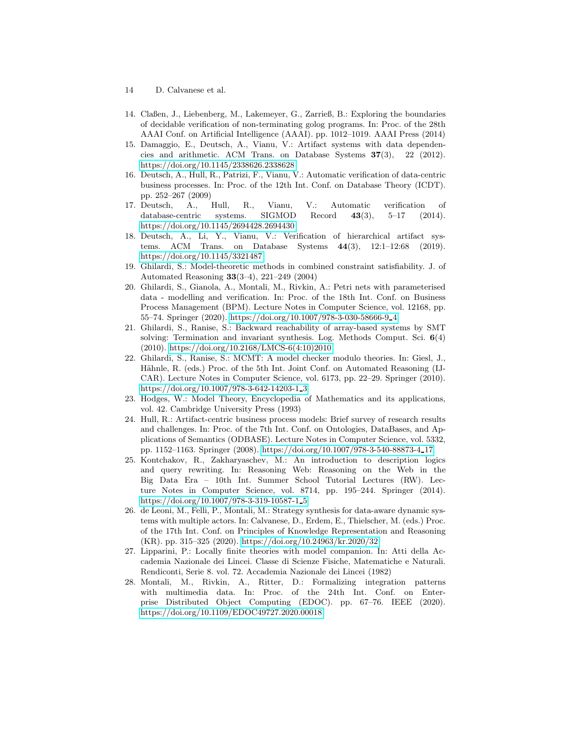- 14 D. Calvanese et al.
- <span id="page-13-6"></span>14. Claßen, J., Liebenberg, M., Lakemeyer, G., Zarrieß, B.: Exploring the boundaries of decidable verification of non-terminating golog programs. In: Proc. of the 28th AAAI Conf. on Artificial Intelligence (AAAI). pp. 1012–1019. AAAI Press (2014)
- <span id="page-13-4"></span>15. Damaggio, E., Deutsch, A., Vianu, V.: Artifact systems with data dependencies and arithmetic. ACM Trans. on Database Systems  $37(3)$ , 22 (2012). <https://doi.org/10.1145/2338626.2338628>
- <span id="page-13-5"></span>16. Deutsch, A., Hull, R., Patrizi, F., Vianu, V.: Automatic verification of data-centric business processes. In: Proc. of the 12th Int. Conf. on Database Theory (ICDT). pp. 252–267 (2009)
- <span id="page-13-1"></span>17. Deutsch, A., Hull, R., Vianu, V.: Automatic verification of database-centric systems. SIGMOD Record 43(3), 5–17 (2014). <https://doi.org/10.1145/2694428.2694430>
- <span id="page-13-2"></span>18. Deutsch, A., Li, Y., Vianu, V.: Verification of hierarchical artifact systems. ACM Trans. on Database Systems 44(3), 12:1–12:68 (2019). <https://doi.org/10.1145/3321487>
- <span id="page-13-12"></span>19. Ghilardi, S.: Model-theoretic methods in combined constraint satisfiability. J. of Automated Reasoning 33(3–4), 221–249 (2004)
- <span id="page-13-0"></span>20. Ghilardi, S., Gianola, A., Montali, M., Rivkin, A.: Petri nets with parameterised data - modelling and verification. In: Proc. of the 18th Int. Conf. on Business Process Management (BPM). Lecture Notes in Computer Science, vol. 12168, pp. 55–74. Springer (2020). [https://doi.org/10.1007/978-3-030-58666-9](https://doi.org/10.1007/978-3-030-58666-9_4) 4
- <span id="page-13-13"></span>21. Ghilardi, S., Ranise, S.: Backward reachability of array-based systems by SMT solving: Termination and invariant synthesis. Log. Methods Comput. Sci. 6(4) (2010). [https://doi.org/10.2168/LMCS-6\(4:10\)2010](https://doi.org/10.2168/LMCS-6(4:10)2010)
- <span id="page-13-7"></span>22. Ghilardi, S., Ranise, S.: MCMT: A model checker modulo theories. In: Giesl, J., Hähnle, R. (eds.) Proc. of the 5th Int. Joint Conf. on Automated Reasoning (IJ-CAR). Lecture Notes in Computer Science, vol. 6173, pp. 22–29. Springer (2010). [https://doi.org/10.1007/978-3-642-14203-1](https://doi.org/10.1007/978-3-642-14203-1_3) 3
- <span id="page-13-11"></span>23. Hodges, W.: Model Theory, Encyclopedia of Mathematics and its applications, vol. 42. Cambridge University Press (1993)
- <span id="page-13-3"></span>24. Hull, R.: Artifact-centric business process models: Brief survey of research results and challenges. In: Proc. of the 7th Int. Conf. on Ontologies, DataBases, and Applications of Semantics (ODBASE). Lecture Notes in Computer Science, vol. 5332, pp. 1152–1163. Springer (2008). [https://doi.org/10.1007/978-3-540-88873-4](https://doi.org/10.1007/978-3-540-88873-4_17) 17
- <span id="page-13-10"></span>25. Kontchakov, R., Zakharyaschev, M.: An introduction to description logics and query rewriting. In: Reasoning Web: Reasoning on the Web in the Big Data Era – 10th Int. Summer School Tutorial Lectures (RW). Lecture Notes in Computer Science, vol. 8714, pp. 195–244. Springer (2014). [https://doi.org/10.1007/978-3-319-10587-1](https://doi.org/10.1007/978-3-319-10587-1_5) 5
- <span id="page-13-8"></span>26. de Leoni, M., Felli, P., Montali, M.: Strategy synthesis for data-aware dynamic systems with multiple actors. In: Calvanese, D., Erdem, E., Thielscher, M. (eds.) Proc. of the 17th Int. Conf. on Principles of Knowledge Representation and Reasoning (KR). pp. 315–325 (2020).<https://doi.org/10.24963/kr.2020/32>
- <span id="page-13-14"></span>27. Lipparini, P.: Locally finite theories with model companion. In: Atti della Accademia Nazionale dei Lincei. Classe di Scienze Fisiche, Matematiche e Naturali. Rendiconti, Serie 8. vol. 72. Accademia Nazionale dei Lincei (1982)
- <span id="page-13-9"></span>28. Montali, M., Rivkin, A., Ritter, D.: Formalizing integration patterns with multimedia data. In: Proc. of the 24th Int. Conf. on Enterprise Distributed Object Computing (EDOC). pp. 67–76. IEEE (2020). <https://doi.org/10.1109/EDOC49727.2020.00018>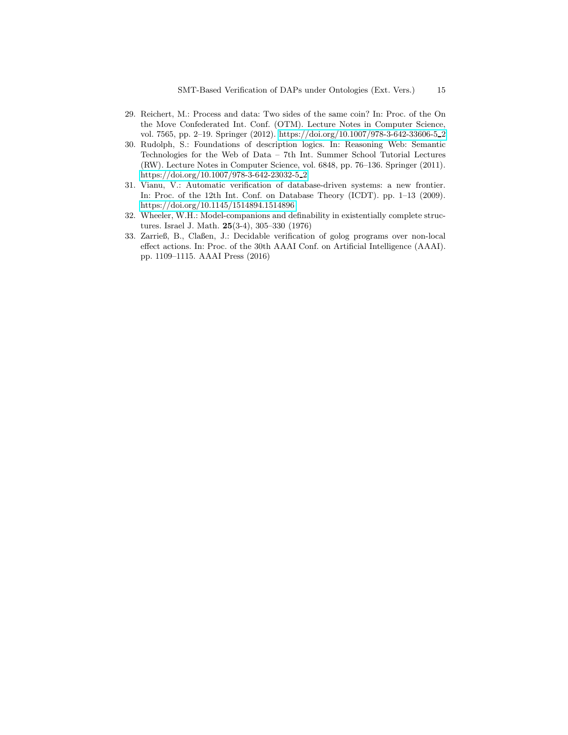- <span id="page-14-0"></span>29. Reichert, M.: Process and data: Two sides of the same coin? In: Proc. of the On the Move Confederated Int. Conf. (OTM). Lecture Notes in Computer Science, vol. 7565, pp. 2–19. Springer (2012). [https://doi.org/10.1007/978-3-642-33606-5](https://doi.org/10.1007/978-3-642-33606-5_2) 2
- <span id="page-14-3"></span>30. Rudolph, S.: Foundations of description logics. In: Reasoning Web: Semantic Technologies for the Web of Data – 7th Int. Summer School Tutorial Lectures (RW). Lecture Notes in Computer Science, vol. 6848, pp. 76–136. Springer (2011). [https://doi.org/10.1007/978-3-642-23032-5](https://doi.org/10.1007/978-3-642-23032-5_2) 2
- <span id="page-14-1"></span>31. Vianu, V.: Automatic verification of database-driven systems: a new frontier. In: Proc. of the 12th Int. Conf. on Database Theory (ICDT). pp. 1–13 (2009). <https://doi.org/10.1145/1514894.1514896>
- <span id="page-14-4"></span>32. Wheeler, W.H.: Model-companions and definability in existentially complete structures. Israel J. Math. 25(3-4), 305–330 (1976)
- <span id="page-14-2"></span>33. Zarrieß, B., Claßen, J.: Decidable verification of golog programs over non-local effect actions. In: Proc. of the 30th AAAI Conf. on Artificial Intelligence (AAAI). pp. 1109–1115. AAAI Press (2016)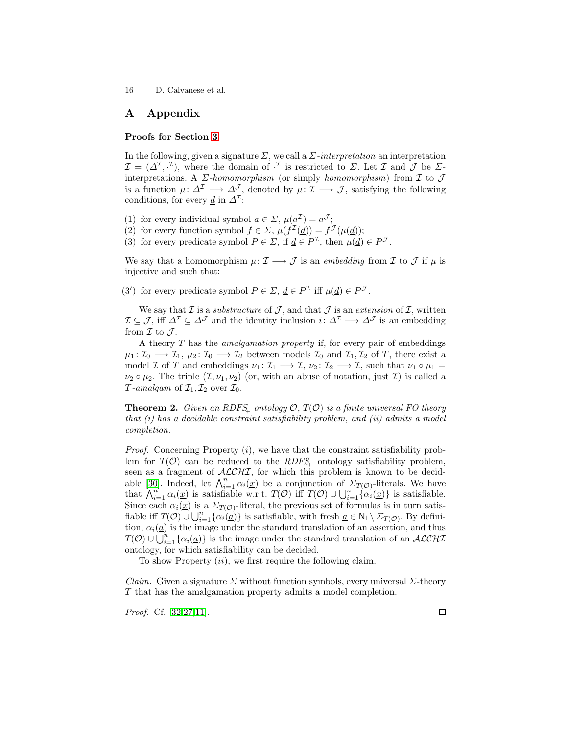# A Appendix

### Proofs for Section [3](#page-5-1)

In the following, given a signature  $\Sigma$ , we call a  $\Sigma$ -interpretation an interpretation  $\mathcal{I} = (\Delta^{\mathcal{I}}, \cdot^{\mathcal{I}})$ , where the domain of  $\cdot^{\mathcal{I}}$  is restricted to  $\Sigma$ . Let  $\mathcal{I}$  and  $\mathcal{J}$  be  $\Sigma$ interpretations. A  $\Sigma$ -homomorphism (or simply homomorphism) from  $\mathcal I$  to  $\mathcal J$ is a function  $\mu: \Delta^{\mathcal{I}} \longrightarrow \Delta^{\mathcal{J}}$ , denoted by  $\mu: \mathcal{I} \longrightarrow \mathcal{J}$ , satisfying the following conditions, for every <u>d</u> in  $\Delta^2$ :

- (1) for every individual symbol  $a \in \Sigma$ ,  $\mu(a^{\mathcal{I}}) = a^{\mathcal{J}}$ ;
- (2) for every function symbol  $f \in \Sigma$ ,  $\mu(f^{\mathcal{I}}(\underline{d})) = f^{\mathcal{J}}(\mu(\underline{d}))$ ;
- (3) for every predicate symbol  $P \in \Sigma$ , if  $\underline{d} \in P^{\mathcal{I}}$ , then  $\mu(\underline{d}) \in P^{\mathcal{J}}$ .

We say that a homomorphism  $\mu: \mathcal{I} \longrightarrow \mathcal{J}$  is an embedding from  $\mathcal{I}$  to  $\mathcal{J}$  if  $\mu$  is injective and such that:

(3') for every predicate symbol  $P \in \Sigma$ ,  $\underline{d} \in P^{\mathcal{I}}$  iff  $\mu(\underline{d}) \in P^{\mathcal{J}}$ .

We say that  $\mathcal I$  is a *substructure* of  $\mathcal J$ , and that  $\mathcal J$  is an *extension* of  $\mathcal I$ , written  $\mathcal{I} \subseteq \mathcal{J}$ , iff  $\Delta^{\mathcal{I}} \subseteq \Delta^{\mathcal{J}}$  and the identity inclusion  $i: \Delta^{\mathcal{I}} \longrightarrow \Delta^{\mathcal{J}}$  is an embedding from  $\mathcal I$  to  $\mathcal J$ .

A theory T has the amalgamation property if, for every pair of embeddings  $\mu_1: \mathcal{I}_0 \longrightarrow \mathcal{I}_1, \mu_2: \mathcal{I}_0 \longrightarrow \mathcal{I}_2$  between models  $\mathcal{I}_0$  and  $\mathcal{I}_1, \mathcal{I}_2$  of T, there exist a model *I* of *T* and embeddings  $\nu_1 : I_1 \longrightarrow I$ ,  $\nu_2 : I_2 \longrightarrow I$ , such that  $\nu_1 \circ \mu_1 =$  $\nu_2 \circ \mu_2$ . The triple  $(\mathcal{I}, \nu_1, \nu_2)$  (or, with an abuse of notation, just  $\mathcal{I}$ ) is called a T-amalgam of  $\mathcal{I}_1, \mathcal{I}_2$  over  $\mathcal{I}_0$ .

**Theorem 2.** Given an RDFS<sub>+</sub> ontology  $\mathcal{O}, T(\mathcal{O})$  is a finite universal FO theory that  $(i)$  has a decidable constraint satisfiability problem, and  $(ii)$  admits a model completion.

*Proof.* Concerning Property  $(i)$ , we have that the constraint satisfiability problem for  $T(\mathcal{O})$  can be reduced to the  $RDFS_{\perp}$  ontology satisfiability problem, seen as a fragment of  $\mathcal{ALCHI}$ , for which this problem is known to be decid-able [\[30\]](#page-14-3). Indeed, let  $\bigwedge_{i=1}^{n} \alpha_i(\underline{x})$  be a conjunction of  $\sum_{T(\mathcal{O})}$ -literals. We have that  $\bigwedge_{i=1}^{n} \alpha_i(\underline{x})$  is satisfiable w.r.t.  $T(\mathcal{O})$  iff  $T(\mathcal{O}) \cup \bigcup_{i=1}^{n} {\alpha_i(\underline{x})}$  is satisfiable. Since each  $\alpha_i(\underline{x})$  is a  $\Sigma_{T(\mathcal{O})}$ -literal, the previous set of formulas is in turn satisfiable iff  $T(\mathcal{O}) \cup \bigcup_{i=1}^n {\{\alpha_i(\underline{a})\}}$  is satisfiable, with fresh  $\underline{a} \in \mathsf{N}_1 \setminus \Sigma_{T(\mathcal{O})}$ . By definition,  $\alpha_i(\underline{a})$  is the image under the standard translation of an assertion, and thus  $T(\mathcal{O}) \cup \overline{\bigcup_{i=1}^{n} {\{\alpha_i(\underline{a})\}}}$  is the image under the standard translation of an  $\mathcal{ALCHI}$ ontology, for which satisfiability can be decided.

To show Property (ii), we first require the following claim.

Claim. Given a signature  $\Sigma$  without function symbols, every universal  $\Sigma$ -theory T that has the amalgamation property admits a model completion.

Proof. Cf. [\[32,](#page-14-4)[27](#page-13-14)[,11\]](#page-12-4).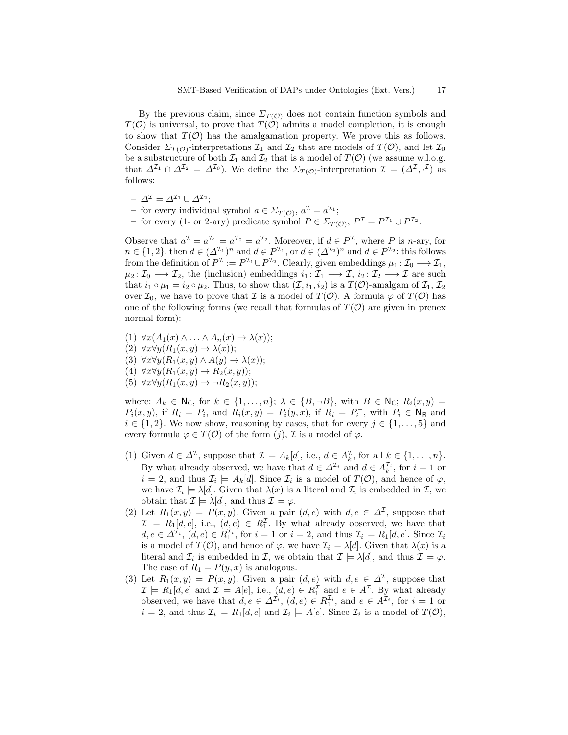By the previous claim, since  $\Sigma_{T(\mathcal{O})}$  does not contain function symbols and  $T(\mathcal{O})$  is universal, to prove that  $T(\mathcal{O})$  admits a model completion, it is enough to show that  $T(\mathcal{O})$  has the amalgamation property. We prove this as follows. Consider  $\Sigma_{T(\mathcal{O})}$ -interpretations  $\mathcal{I}_1$  and  $\mathcal{I}_2$  that are models of  $T(\mathcal{O})$ , and let  $\mathcal{I}_0$ be a substructure of both  $\mathcal{I}_1$  and  $\mathcal{I}_2$  that is a model of  $T(\mathcal{O})$  (we assume w.l.o.g. that  $\Delta^{\mathcal{I}_1} \cap \Delta^{\mathcal{I}_2} = \Delta^{\mathcal{I}_0}$ . We define the  $\Sigma_{T(\mathcal{O})}$ -interpretation  $\mathcal{I} = (\Delta^{\mathcal{I}}, \cdot^{\mathcal{I}})$  as follows:

- $\varDelta^{\mathcal{I}} = \varDelta^{\mathcal{I}_1} \cup \varDelta^{\mathcal{I}_2};$
- for every individual symbol  $a \in \Sigma_{T(\mathcal{O})}, a^{\mathcal{I}} = a^{\mathcal{I}_1};$
- for every (1- or 2-ary) predicate symbol  $P \in \Sigma_{T(\mathcal{O})}, P^{\mathcal{I}} = P^{\mathcal{I}_1} \cup P^{\mathcal{I}_2}.$

Observe that  $a^{\mathcal{I}} = a^{\mathcal{I}_1} = a^{\mathcal{I}_0} = a^{\mathcal{I}_2}$ . Moreover, if  $\underline{d} \in P^{\mathcal{I}}$ , where P is n-ary, for  $n \in \{1,2\}$ , then  $\underline{d} \in (\Delta^{\mathcal{I}_1})^n$  and  $\underline{d} \in P^{\mathcal{I}_1}$ , or  $\underline{d} \in (\Delta^{\mathcal{I}_2})^n$  and  $\underline{d} \in P^{\mathcal{I}_2}$ : this follows from the definition of  $P^{\mathcal{I}} := P^{\mathcal{I}_1} \cup P^{\mathcal{I}_2}$ . Clearly, given embeddings  $\mu_1 \colon \mathcal{I}_0 \longrightarrow \mathcal{I}_1$ ,  $\mu_2: \mathcal{I}_0 \longrightarrow \mathcal{I}_2$ , the (inclusion) embeddings  $i_1: \mathcal{I}_1 \longrightarrow \mathcal{I}$ ,  $i_2: \mathcal{I}_2 \longrightarrow \mathcal{I}$  are such that  $i_1 \circ \mu_1 = i_2 \circ \mu_2$ . Thus, to show that  $(\mathcal{I}, i_1, i_2)$  is a  $T(\mathcal{O})$ -amalgam of  $\mathcal{I}_1, \mathcal{I}_2$ over  $\mathcal{I}_0$ , we have to prove that  $\mathcal I$  is a model of  $T(\mathcal O)$ . A formula  $\varphi$  of  $T(\mathcal O)$  has one of the following forms (we recall that formulas of  $T(\mathcal{O})$  are given in prenex normal form):

- (1)  $\forall x (A_1(x) \land ... \land A_n(x) \rightarrow \lambda(x));$
- (2)  $\forall x \forall y (R_1(x, y) \rightarrow \lambda(x));$
- (3)  $\forall x \forall y (R_1(x, y) \land A(y) \rightarrow \lambda(x));$
- (4)  $\forall x \forall y (R_1(x, y) \rightarrow R_2(x, y));$
- (5)  $\forall x \forall y (R_1(x, y) \rightarrow \neg R_2(x, y));$

where:  $A_k \in \mathsf{N}_\mathsf{C}$ , for  $k \in \{1, \ldots, n\}; \lambda \in \{B, \neg B\}$ , with  $B \in \mathsf{N}_\mathsf{C}$ ;  $R_i(x, y) =$  $P_i(x, y)$ , if  $R_i = P_i$ , and  $R_i(x, y) = P_i(y, x)$ , if  $R_i = P_i^-$ , with  $P_i \in N_R$  and  $i \in \{1, 2\}$ . We now show, reasoning by cases, that for every  $j \in \{1, ..., 5\}$  and every formula  $\varphi \in T(\mathcal{O})$  of the form  $(j)$ ,  $\mathcal{I}$  is a model of  $\varphi$ .

- (1) Given  $d \in \Delta^{\mathcal{I}}$ , suppose that  $\mathcal{I} \models A_k[d]$ , i.e.,  $d \in A_k^{\mathcal{I}}$ , for all  $k \in \{1, ..., n\}$ . By what already observed, we have that  $d \in \Delta^{\mathcal{I}_i}$  and  $d \in A_k^{\mathcal{I}_i}$ , for  $i = 1$  or  $i = 2$ , and thus  $\mathcal{I}_i \models A_k[d]$ . Since  $\mathcal{I}_i$  is a model of  $T(\mathcal{O})$ , and hence of  $\varphi$ , we have  $\mathcal{I}_i \models \lambda[d]$ . Given that  $\lambda(x)$  is a literal and  $\mathcal{I}_i$  is embedded in  $\mathcal{I}$ , we obtain that  $\mathcal{I} \models \lambda[d]$ , and thus  $\mathcal{I} \models \varphi$ .
- (2) Let  $R_1(x, y) = P(x, y)$ . Given a pair  $(d, e)$  with  $d, e \in \Delta^{\mathcal{I}}$ , suppose that  $\mathcal{I} \models R_1[d, e],$  i.e.,  $(d, e) \in R_1^{\mathcal{I}}$ . By what already observed, we have that  $d, e \in \Delta^{\mathcal{I}_i}$ ,  $(d, e) \in R_1^{\mathcal{I}_i}$ , for  $i = 1$  or  $i = 2$ , and thus  $\mathcal{I}_i \models R_1[d, e]$ . Since  $\mathcal{I}_i$ is a model of  $T(\mathcal{O})$ , and hence of  $\varphi$ , we have  $\mathcal{I}_i \models \lambda[d]$ . Given that  $\lambda(x)$  is a literal and  $\mathcal{I}_i$  is embedded in  $\mathcal{I}$ , we obtain that  $\mathcal{I} \models \lambda[d]$ , and thus  $\mathcal{I} \models \varphi$ . The case of  $R_1 = P(y, x)$  is analogous.
- (3) Let  $R_1(x, y) = P(x, y)$ . Given a pair  $(d, e)$  with  $d, e \in \Delta^{\mathcal{I}}$ , suppose that  $\mathcal{I} \models R_1[d, e]$  and  $\mathcal{I} \models A[e], \text{ i.e., } (d, e) \in R_1^{\mathcal{I}}$  and  $e \in A^{\mathcal{I}}$ . By what already observed, we have that  $d, e \in \Delta^{\mathcal{I}_i}$ ,  $(d, e) \in R_1^{\mathcal{I}_i}$ , and  $e \in A^{\mathcal{I}_i}$ , for  $i = 1$  or  $i = 2$ , and thus  $\mathcal{I}_i \models R_1[d, e]$  and  $\mathcal{I}_i \models A[e]$ . Since  $\mathcal{I}_i$  is a model of  $T(\mathcal{O})$ ,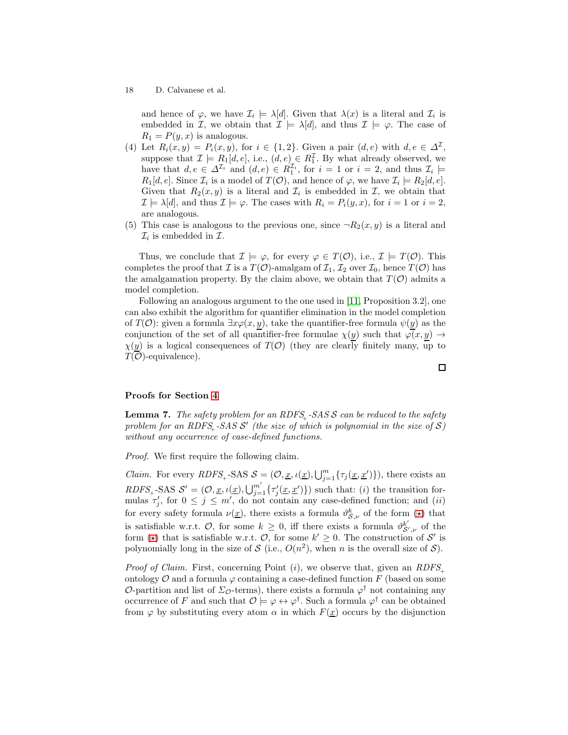and hence of  $\varphi$ , we have  $\mathcal{I}_i \models \lambda[d]$ . Given that  $\lambda(x)$  is a literal and  $\mathcal{I}_i$  is embedded in I, we obtain that  $\mathcal{I} \models \lambda[d]$ , and thus  $\mathcal{I} \models \varphi$ . The case of  $R_1 = P(y, x)$  is analogous.

- (4) Let  $R_i(x, y) = P_i(x, y)$ , for  $i \in \{1, 2\}$ . Given a pair  $(d, e)$  with  $d, e \in \Delta^{\mathcal{I}},$ suppose that  $\mathcal{I} \models R_1[d, e]$ , i.e.,  $(d, e) \in R_1^{\mathcal{I}}$ . By what already observed, we have that  $d, e \in \Delta^{\mathcal{I}_i}$  and  $(d, e) \in R_1^{\mathcal{I}_i}$ , for  $i = 1$  or  $i = 2$ , and thus  $\mathcal{I}_i \models$  $R_1[d, e]$ . Since  $\mathcal{I}_i$  is a model of  $T(\mathcal{O})$ , and hence of  $\varphi$ , we have  $\mathcal{I}_i \models R_2[d, e]$ . Given that  $R_2(x, y)$  is a literal and  $\mathcal{I}_i$  is embedded in  $\mathcal{I}$ , we obtain that  $\mathcal{I} \models \lambda[d]$ , and thus  $\mathcal{I} \models \varphi$ . The cases with  $R_i = P_i(y, x)$ , for  $i = 1$  or  $i = 2$ , are analogous.
- (5) This case is analogous to the previous one, since  $\neg R_2(x, y)$  is a literal and  $\mathcal{I}_i$  is embedded in  $\mathcal{I}$ .

Thus, we conclude that  $\mathcal{I} \models \varphi$ , for every  $\varphi \in T(\mathcal{O})$ , i.e.,  $\mathcal{I} \models T(\mathcal{O})$ . This completes the proof that I is a  $T(\mathcal{O})$ -amalgam of  $\mathcal{I}_1, \mathcal{I}_2$  over  $\mathcal{I}_0$ , hence  $T(\mathcal{O})$  has the amalgamation property. By the claim above, we obtain that  $T(\mathcal{O})$  admits a model completion.

Following an analogous argument to the one used in [\[11,](#page-12-4) Proposition 3.2], one can also exhibit the algorithm for quantifier elimination in the model completion of  $T(\mathcal{O})$ : given a formula  $\exists x \varphi(x, y)$ , take the quantifier-free formula  $\psi(y)$  as the conjunction of the set of all quantifier-free formulae  $\chi(y)$  such that  $\varphi(x, y) \to$  $\chi(y)$  is a logical consequences of  $T(\mathcal{O})$  (they are clearly finitely many, up to  $T(\overline{\mathcal{O}})$ -equivalence).

#### <span id="page-17-0"></span>Proofs for Section [4](#page-6-1)

**Lemma 7.** The safety problem for an RDFS<sub>+</sub>-SAS S can be reduced to the safety problem for an RDFS<sub>+</sub>-SAS  $\mathcal{S}'$  (the size of which is polynomial in the size of  $\mathcal{S}$ ) without any occurrence of case-defined functions.

Proof. We first require the following claim.

*Claim.* For every  $RDFS_+$ -SAS  $S = (\mathcal{O}, \underline{x}, \iota(\underline{x}), \bigcup_{j=1}^m {\{\tau_j(\underline{x}, \underline{x}')} \})$ , there exists an  $RDFS_+$ -SAS  $\mathcal{S}' = (\mathcal{O}, \underline{x}, \iota(\underline{x}), \bigcup_{j=1}^{m'} \{\tau'_j(\underline{x}, \underline{x}')\})$  such that: (*i*) the transition formulas  $\tau'_j$ , for  $0 \leq j \leq m'$ , do not contain any case-defined function; and *(ii)* for every safety formula  $\nu(\underline{x})$ , there exists a formula  $\vartheta_{\mathcal{S},\nu}^k$  of the form  $(\star)$  that is satisfiable w.r.t. O, for some  $k \geq 0$ , iff there exists a formula  $\vartheta_{\mathcal{S}',\nu}^{k'}$  of the form ( $\star$ ) that is satisfiable w.r.t. O, for some  $k' \geq 0$ . The construction of S' is polynomially long in the size of S (i.e.,  $O(n^2)$ , when n is the overall size of S).

*Proof of Claim.* First, concerning Point (i), we observe that, given an  $RDFS_{\perp}$ ontology  $\mathcal O$  and a formula  $\varphi$  containing a case-defined function F (based on some O-partition and list of  $\Sigma_{\mathcal{O}}$ -terms), there exists a formula  $\varphi^{\dagger}$  not containing any occurrence of F and such that  $\mathcal{O} \models \varphi \leftrightarrow \varphi^{\dagger}$ . Such a formula  $\varphi^{\dagger}$  can be obtained from  $\varphi$  by substituting every atom  $\alpha$  in which  $F(\underline{x})$  occurs by the disjunction

 $\Box$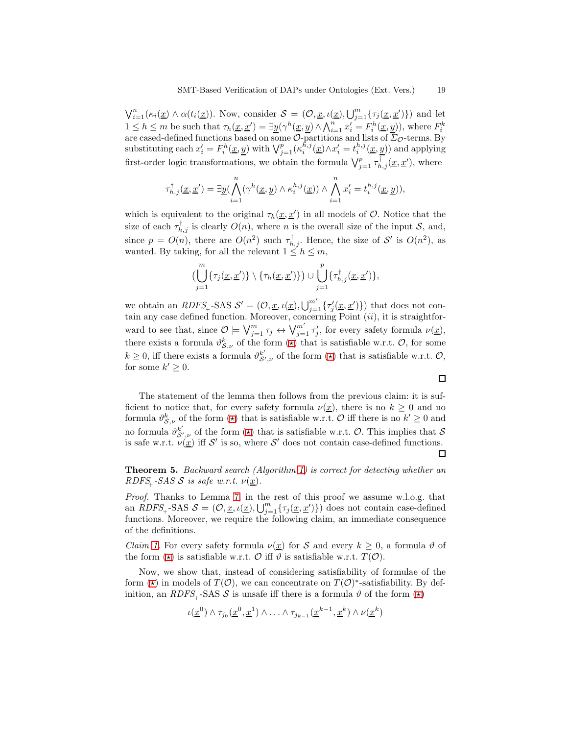$\bigvee_{i=1}^n (\kappa_i(\underline{x}) \wedge \alpha(t_i(\underline{x}))$ . Now, consider  $\mathcal{S} = (\mathcal{O}, \underline{x}, \iota(\underline{x}), \bigcup_{j=1}^m \{\tau_j(\underline{x}, \underline{x}')\})$  and let  $1 \leq h \leq m$  be such that  $\tau_h(\underline{x}, \underline{x}') = \exists \underline{y} (\gamma^h(\underline{x}, \underline{y}) \wedge \bigwedge_{i=1}^n x'_i = F_i^h(\underline{x}, \underline{y}))$ , where  $F_i^k$  are cased-defined functions based on some  $\mathcal{O}$ -partitions and lists of  $\overline{\Sigma}_{\mathcal{O}}$ -terms. By substituting each  $x'_i = F_i^h(\underline{x}, \underline{y})$  with  $\bigvee_{j=1}^p (\kappa_i^{\bar{h},j}(\underline{x}) \wedge x'_i = t_i^{h,j}(\underline{x}, \underline{y}))$  and applying first-order logic transformations, we obtain the formula  $\bigvee_{j=1}^{p} \tau_{h,j}^{\dagger}(\underline{x}, \underline{x}')$ , where

$$
\tau_{h,j}^{\dagger}(\underline{x},\underline{x}')=\exists \underline{y}(\bigwedge_{i=1}^n(\gamma^h(\underline{x},\underline{y})\wedge \kappa_i^{h,j}(\underline{x}))\wedge \bigwedge_{i=1}^nx_i'=t_i^{h,j}(\underline{x},\underline{y})),
$$

which is equivalent to the original  $\tau_h(\underline{x}, \underline{x}')$  in all models of  $\mathcal{O}$ . Notice that the size of each  $\tau_{h,j}^{\dagger}$  is clearly  $O(n)$ , where n is the overall size of the input S, and, since  $p = O(n)$ , there are  $O(n^2)$  such  $\tau_{h,j}^{\dagger}$ . Hence, the size of S' is  $O(n^2)$ , as wanted. By taking, for all the relevant  $1 \leq h \leq m$ ,

$$
\left(\bigcup_{j=1}^m \{\tau_j(\underline{x}, \underline{x}')\} \setminus \{\tau_h(\underline{x}, \underline{x}')\}\right) \cup \bigcup_{j=1}^p \{\tau_{h,j}^{\dagger}(\underline{x}, \underline{x}')\},\
$$

we obtain an  $RDFS_+$ -SAS  $S' = (\mathcal{O}, \underline{x}, \iota(\underline{x}), \bigcup_{j=1}^{m'} \{\tau'_j(\underline{x}, \underline{x}')\})$  that does not contain any case defined function. Moreover, concerning Point  $(ii)$ , it is straightforward to see that, since  $\mathcal{O} \models \bigvee_{j=1}^{m} \tau_j \leftrightarrow \bigvee_{j=1}^{m'} \tau'_j$ , for every safety formula  $\nu(\underline{x})$ , there exists a formula  $\vartheta_{\mathcal{S},\nu}^k$  of the form  $(\star)$  that is satisfiable w.r.t.  $\mathcal{O}$ , for some  $k \geq 0$ , iff there exists a formula  $\vartheta_{\mathcal{S}',\nu}^{k'}$  of the form  $(\star)$  that is satisfiable w.r.t.  $\mathcal{O},$ for some  $k' \geq 0$ .

The statement of the lemma then follows from the previous claim: it is sufficient to notice that, for every safety formula  $\nu(\underline{x})$ , there is no  $k \geq 0$  and no formula  $\vartheta_{\mathcal{S},\nu}^k$  of the form  $(\star)$  that is satisfiable w.r.t.  $\mathcal{O}$  iff there is no  $k'\geq 0$  and no formula  $\vartheta_{\mathcal{S}',\nu}^{k'}$  of the form  $(\star)$  that is satisfiable w.r.t.  $\mathcal{O}$ . This implies that  $\mathcal{S}$ is safe w.r.t.  $\nu(\underline{x})$  iff S' is so, where S' does not contain case-defined functions.

 $\Box$ 

 $\Box$ 

Theorem 5. Backward search (Algorithm [1\)](#page-8-0) is correct for detecting whether an RDFS<sub>+</sub>-SAS S is safe w.r.t.  $\nu(\underline{x})$ .

Proof. Thanks to Lemma [7,](#page-17-0) in the rest of this proof we assume w.l.o.g. that an  $RDFS_$ -SAS  $S = (\mathcal{O}, \underline{x}, \iota(\underline{x}), \bigcup_{j=1}^{m} {\{\tau_j(\underline{x}, \underline{x}')\}})$  does not contain case-defined functions. Moreover, we require the following claim, an immediate consequence of the definitions.

*Claim [1.](#page-10-1)* For every safety formula  $\nu(\underline{x})$  for S and every  $k \geq 0$ , a formula  $\vartheta$  of the form  $(\star)$  is satisfiable w.r.t.  $\mathcal O$  iff  $\vartheta$  is satisfiable w.r.t.  $T(\mathcal O)$ .

Now, we show that, instead of considering satisfiability of formulae of the form  $(\star)$  in models of  $T(\mathcal{O})$ , we can concentrate on  $T(\mathcal{O})^*$ -satisfiability. By definition, an RDFS<sub>+</sub>-SAS S is unsafe iff there is a formula  $\vartheta$  of the form  $(\star)$ 

$$
\iota(\underline{x}^0) \wedge \tau_{j_0}(\underline{x}^0, \underline{x}^1) \wedge \ldots \wedge \tau_{j_{k-1}}(\underline{x}^{k-1}, \underline{x}^k) \wedge \nu(\underline{x}^k)
$$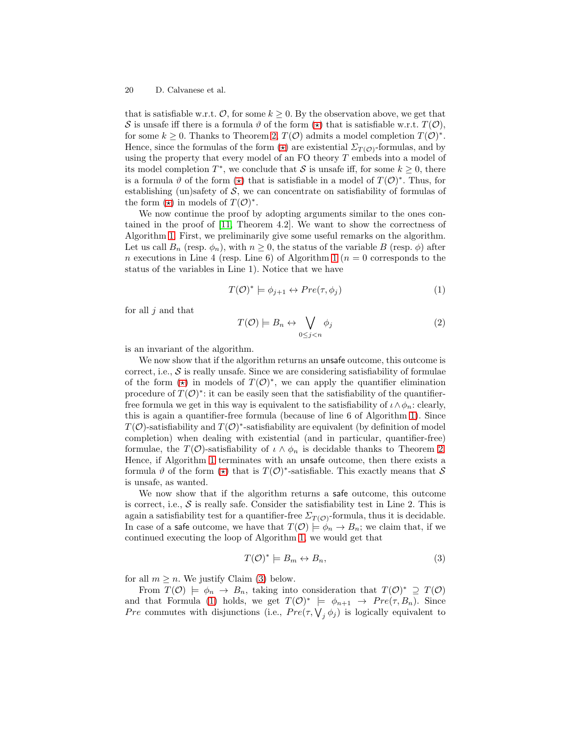that is satisfiable w.r.t.  $\mathcal{O}$ , for some  $k \geq 0$ . By the observation above, we get that S is unsafe iff there is a formula  $\vartheta$  of the form  $(\star)$  that is satisfiable w.r.t.  $T(\mathcal{O})$ , for some  $k \geq 0$ . Thanks to Theorem [2,](#page-5-0)  $T(\mathcal{O})$  admits a model completion  $T(\mathcal{O})^*$ . Hence, since the formulas of the form  $(\star)$  are existential  $\Sigma_{T(\mathcal{O})}$ -formulas, and by using the property that every model of an FO theory T embeds into a model of its model completion  $T^*$ , we conclude that S is unsafe iff, for some  $k \geq 0$ , there is a formula  $\vartheta$  of the form  $(\star)$  that is satisfiable in a model of  $T(\mathcal{O})^*$ . Thus, for establishing (un)safety of  $S$ , we can concentrate on satisfiability of formulas of the form  $(\star)$  in models of  $T(\mathcal{O})^*$ .

We now continue the proof by adopting arguments similar to the ones contained in the proof of [\[11,](#page-12-4) Theorem 4.2]. We want to show the correctness of Algorithm [1.](#page-9-0) First, we preliminarily give some useful remarks on the algorithm. Let us call  $B_n$  (resp.  $\phi_n$ ), with  $n \geq 0$ , the status of the variable B (resp.  $\phi$ ) after n executions in Line 4 (resp. Line 6) of Algorithm [1](#page-9-0) ( $n = 0$  corresponds to the status of the variables in Line 1). Notice that we have

<span id="page-19-1"></span>
$$
T(\mathcal{O})^* \models \phi_{j+1} \leftrightarrow Pre(\tau, \phi_j)
$$
 (1)

for all  $j$  and that

<span id="page-19-2"></span>
$$
T(\mathcal{O}) \models B_n \leftrightarrow \bigvee_{0 \le j < n} \phi_j \tag{2}
$$

is an invariant of the algorithm.

We now show that if the algorithm returns an unsafe outcome, this outcome is correct, i.e.,  $S$  is really unsafe. Since we are considering satisfiability of formulae of the form  $(\star)$  in models of  $T(\mathcal{O})^*$ , we can apply the quantifier elimination procedure of  $T(\mathcal{O})^*$ : it can be easily seen that the satisfiability of the quantifierfree formula we get in this way is equivalent to the satisfiability of  $\iota \wedge \phi_n$ : clearly, this is again a quantifier-free formula (because of line 6 of Algorithm [1\)](#page-9-0). Since  $T(\mathcal{O})$ -satisfiability and  $T(\mathcal{O})^*$ -satisfiability are equivalent (by definition of model completion) when dealing with existential (and in particular, quantifier-free) formulae, the  $T(\mathcal{O})$ -satisfiability of  $\iota \wedge \phi_n$  is decidable thanks to Theorem [2.](#page-5-0) Hence, if Algorithm [1](#page-9-0) terminates with an unsafe outcome, then there exists a formula  $\vartheta$  of the form  $(\star)$  that is  $T(\mathcal{O})^*$ -satisfiable. This exactly means that S is unsafe, as wanted.

We now show that if the algorithm returns a safe outcome, this outcome is correct, i.e.,  $S$  is really safe. Consider the satisfiability test in Line 2. This is again a satisfiability test for a quantifier-free  $\Sigma_{T(\mathcal{O})}$ -formula, thus it is decidable. In case of a safe outcome, we have that  $T(\mathcal{O}) \models \phi_n \to B_n$ ; we claim that, if we continued executing the loop of Algorithm [1,](#page-9-0) we would get that

<span id="page-19-0"></span>
$$
T(\mathcal{O})^* \models B_m \leftrightarrow B_n,\tag{3}
$$

for all  $m \geq n$ . We justify Claim [\(3\)](#page-19-0) below.

From  $T(\mathcal{O}) \models \phi_n \to B_n$ , taking into consideration that  $T(\mathcal{O})^* \supseteq T(\mathcal{O})$ and that Formula [\(1\)](#page-19-1) holds, we get  $T(\mathcal{O})^* \models \phi_{n+1} \rightarrow Pre(\tau, B_n)$ . Since *Pre* commutes with disjunctions (i.e.,  $Pre(\tau, \bigvee_j \phi_j)$  is logically equivalent to